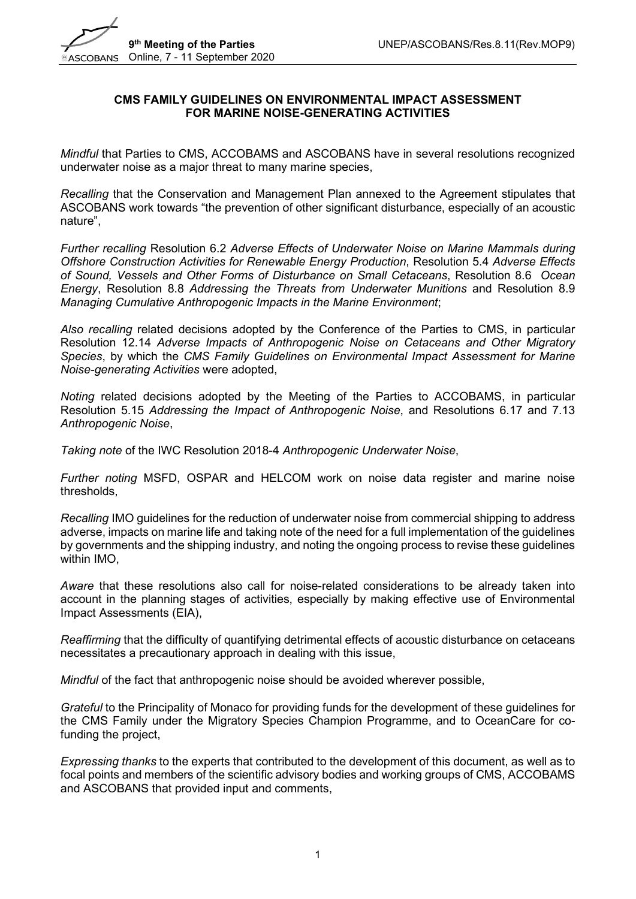

#### **CMS FAMILY GUIDELINES ON ENVIRONMENTAL IMPACT ASSESSMENT FOR MARINE NOISE-GENERATING ACTIVITIES**

*Mindful* that Parties to CMS, ACCOBAMS and ASCOBANS have in several resolutions recognized underwater noise as a major threat to many marine species,

*Recalling* that the Conservation and Management Plan annexed to the Agreement stipulates that ASCOBANS work towards "the prevention of other significant disturbance, especially of an acoustic nature",

*Further recalling* Resolution 6.2 *Adverse Effects of Underwater Noise on Marine Mammals during Offshore Construction Activities for Renewable Energy Production*, Resolution 5.4 *Adverse Effects of Sound, Vessels and Other Forms of Disturbance on Small Cetaceans*, Resolution 8.6 *Ocean Energy*, Resolution 8.8 *Addressing the Threats from Underwater Munitions* and Resolution 8.9 *Managing Cumulative Anthropogenic Impacts in the Marine Environment*;

*Also recalling* related decisions adopted by the Conference of the Parties to CMS, in particular Resolution 12.14 *Adverse Impacts of Anthropogenic Noise on Cetaceans and Other Migratory Species*, by which the *CMS Family Guidelines on Environmental Impact Assessment for Marine Noise-generating Activities* were adopted,

*Noting* related decisions adopted by the Meeting of the Parties to ACCOBAMS, in particular Resolution 5.15 *Addressing the Impact of Anthropogenic Noise*, and Resolutions 6.17 and 7.13 *Anthropogenic Noise*,

*Taking note* of the IWC Resolution 2018-4 *Anthropogenic Underwater Noise*,

*Further noting* MSFD, OSPAR and HELCOM work on noise data register and marine noise thresholds,

*Recalling* IMO guidelines for the reduction of underwater noise from commercial shipping to address adverse, impacts on marine life and taking note of the need for a full implementation of the guidelines by governments and the shipping industry, and noting the ongoing process to revise these guidelines within IMO,

*Aware* that these resolutions also call for noise-related considerations to be already taken into account in the planning stages of activities, especially by making effective use of Environmental Impact Assessments (EIA),

*Reaffirming* that the difficulty of quantifying detrimental effects of acoustic disturbance on cetaceans necessitates a precautionary approach in dealing with this issue,

*Mindful* of the fact that anthropogenic noise should be avoided wherever possible,

*Grateful* to the Principality of Monaco for providing funds for the development of these guidelines for the CMS Family under the Migratory Species Champion Programme, and to OceanCare for cofunding the project,

*Expressing thanks* to the experts that contributed to the development of this document, as well as to focal points and members of the scientific advisory bodies and working groups of CMS, ACCOBAMS and ASCOBANS that provided input and comments,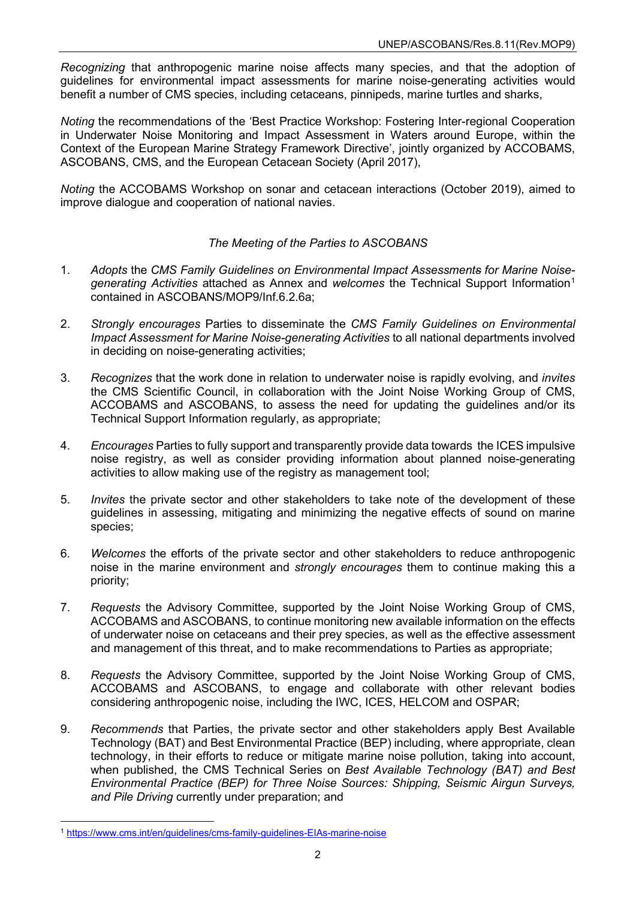*Recognizing* that anthropogenic marine noise affects many species, and that the adoption of guidelines for environmental impact assessments for marine noise-generating activities would benefit a number of CMS species, including cetaceans, pinnipeds, marine turtles and sharks,

*Noting* the recommendations of the 'Best Practice Workshop: Fostering Inter-regional Cooperation in Underwater Noise Monitoring and Impact Assessment in Waters around Europe, within the Context of the European Marine Strategy Framework Directive', jointly organized by ACCOBAMS, ASCOBANS, CMS, and the European Cetacean Society (April 2017),

*Noting* the ACCOBAMS Workshop on sonar and cetacean interactions (October 2019), aimed to improve dialogue and cooperation of national navies.

#### *The Meeting of the Parties to ASCOBANS*

- 1. *Adopts* the *CMS Family Guidelines on Environmental Impact Assessments for Marine Noise*generating Activities attached as Annex and *welcomes* the Technical Support Information<sup>[1](#page-1-0)</sup> contained in ASCOBANS/MOP9/Inf.6.2.6a;
- 2. *Strongly encourages* Parties to disseminate the *CMS Family Guidelines on Environmental Impact Assessment for Marine Noise-generating Activities* to all national departments involved in deciding on noise-generating activities;
- 3. *Recognizes* that the work done in relation to underwater noise is rapidly evolving, and *invites* the CMS Scientific Council, in collaboration with the Joint Noise Working Group of CMS, ACCOBAMS and ASCOBANS, to assess the need for updating the guidelines and/or its Technical Support Information regularly, as appropriate;
- 4. *Encourages* Parties to fully support and transparently provide data towards the ICES impulsive noise registry, as well as consider providing information about planned noise-generating activities to allow making use of the registry as management tool;
- 5. *Invites* the private sector and other stakeholders to take note of the development of these guidelines in assessing, mitigating and minimizing the negative effects of sound on marine species;
- 6. *Welcomes* the efforts of the private sector and other stakeholders to reduce anthropogenic noise in the marine environment and *strongly encourages* them to continue making this a priority;
- 7. *Requests* the Advisory Committee, supported by the Joint Noise Working Group of CMS, ACCOBAMS and ASCOBANS, to continue monitoring new available information on the effects of underwater noise on cetaceans and their prey species, as well as the effective assessment and management of this threat, and to make recommendations to Parties as appropriate;
- 8. *Requests* the Advisory Committee, supported by the Joint Noise Working Group of CMS, ACCOBAMS and ASCOBANS, to engage and collaborate with other relevant bodies considering anthropogenic noise, including the IWC, ICES, HELCOM and OSPAR;
- 9. *Recommends* that Parties, the private sector and other stakeholders apply Best Available Technology (BAT) and Best Environmental Practice (BEP) including, where appropriate, clean technology, in their efforts to reduce or mitigate marine noise pollution, taking into account, when published, the CMS Technical Series on *Best Available Technology (BAT) and Best Environmental Practice (BEP) for Three Noise Sources: Shipping, Seismic Airgun Surveys, and Pile Driving* currently under preparation; and

<span id="page-1-0"></span><sup>1</sup> <https://www.cms.int/en/guidelines/cms-family-guidelines-EIAs-marine-noise>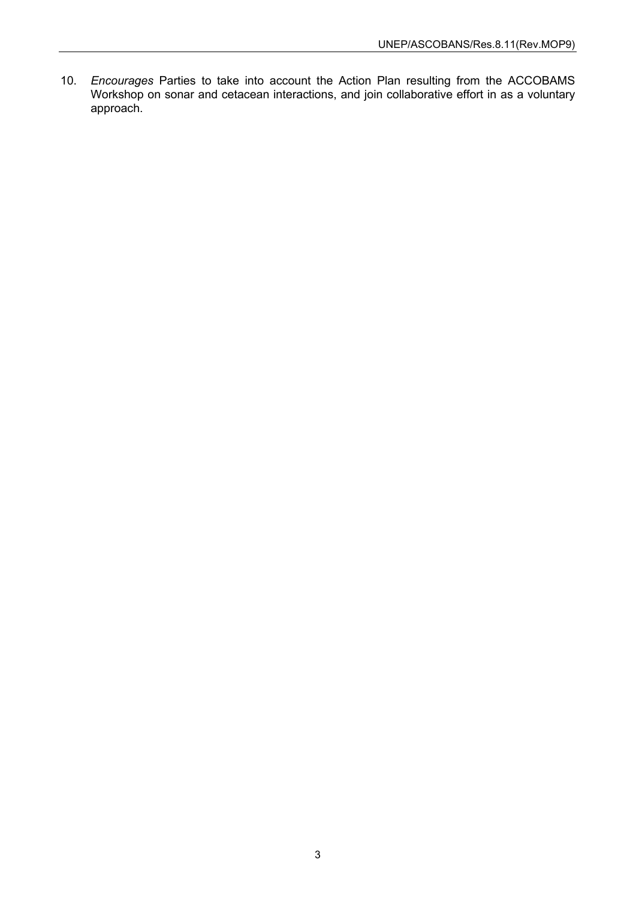10. *Encourages* Parties to take into account the Action Plan resulting from the ACCOBAMS Workshop on sonar and cetacean interactions, and join collaborative effort in as a voluntary approach.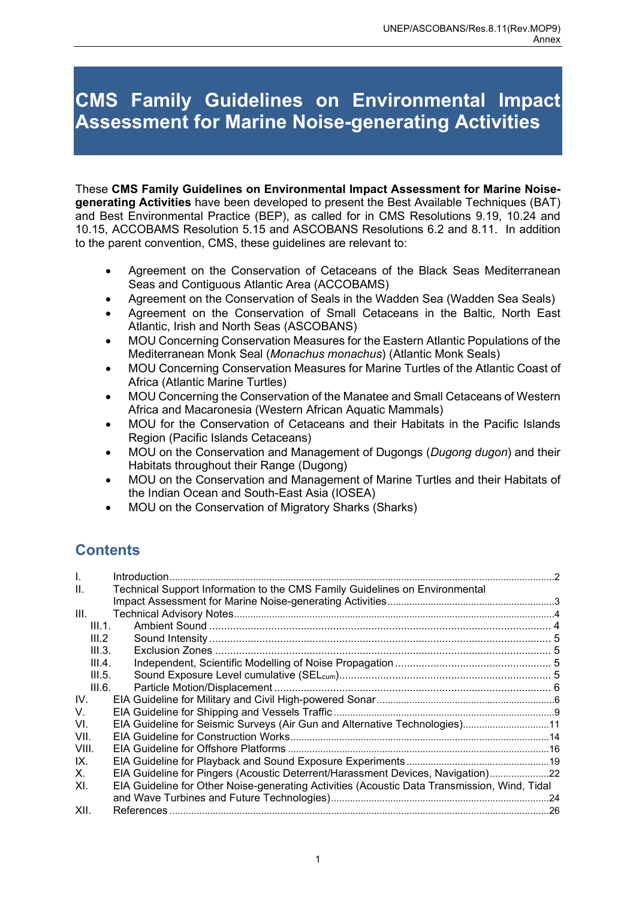# **CMS Family Guidelines on Environmental Impact Assessment for Marine Noise-generating Activities**

These **CMS Family Guidelines on Environmental Impact Assessment for Marine Noisegenerating Activities** have been developed to present the Best Available Techniques (BAT) and Best Environmental Practice (BEP), as called for in CMS Resolutions 9.19, 10.24 and 10.15, ACCOBAMS Resolution 5.15 and ASCOBANS Resolutions 6.2 and 8.11. In addition to the parent convention, CMS, these guidelines are relevant to:

- Agreement on the Conservation of Cetaceans of the Black Seas Mediterranean Seas and Contiguous Atlantic Area (ACCOBAMS)
- Agreement on the Conservation of Seals in the Wadden Sea (Wadden Sea Seals)
- Agreement on the Conservation of Small Cetaceans in the Baltic, North East Atlantic, Irish and North Seas (ASCOBANS)
- MOU Concerning Conservation Measures for the Eastern Atlantic Populations of the Mediterranean Monk Seal (*Monachus monachus*) (Atlantic Monk Seals)
- MOU Concerning Conservation Measures for Marine Turtles of the Atlantic Coast of Africa (Atlantic Marine Turtles)
- MOU Concerning the Conservation of the Manatee and Small Cetaceans of Western Africa and Macaronesia (Western African Aquatic Mammals)
- MOU for the Conservation of Cetaceans and their Habitats in the Pacific Islands Region (Pacific Islands Cetaceans)
- MOU on the Conservation and Management of Dugongs (*Dugong dugon*) and their Habitats throughout their Range (Dugong)
- MOU on the Conservation and Management of Marine Turtles and their Habitats of the Indian Ocean and South-East Asia (IOSEA)
- MOU on the Conservation of Migratory Sharks (Sharks)

# **Contents**

| $\mathbf{L}$ | Introduction.                                                                                |  |
|--------------|----------------------------------------------------------------------------------------------|--|
| Ш.           | Technical Support Information to the CMS Family Guidelines on Environmental                  |  |
|              |                                                                                              |  |
| III.         |                                                                                              |  |
| III.1.       |                                                                                              |  |
| III.2        |                                                                                              |  |
| III.3.       |                                                                                              |  |
| III.4.       |                                                                                              |  |
| III.5.       |                                                                                              |  |
| III.6.       |                                                                                              |  |
| IV.          |                                                                                              |  |
| V.           |                                                                                              |  |
| VI.          | EIA Guideline for Seismic Surveys (Air Gun and Alternative Technologies)11                   |  |
| VII.         |                                                                                              |  |
| VIII.        |                                                                                              |  |
| IX.          |                                                                                              |  |
| Χ.           | EIA Guideline for Pingers (Acoustic Deterrent/Harassment Devices, Navigation)22              |  |
| XI.          | EIA Guideline for Other Noise-generating Activities (Acoustic Data Transmission, Wind, Tidal |  |
|              |                                                                                              |  |
| XII.         |                                                                                              |  |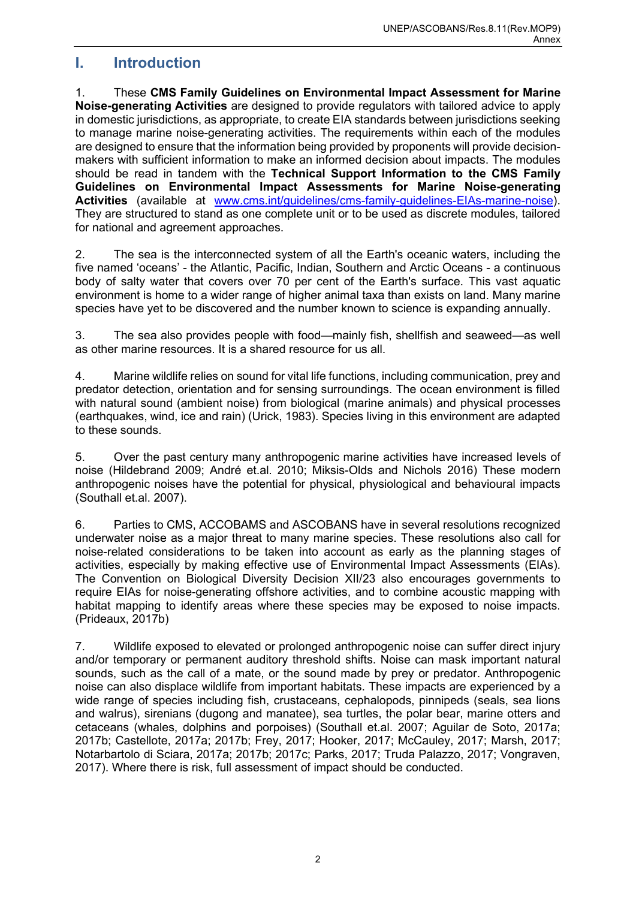### <span id="page-4-0"></span>**I. Introduction**

1. These **CMS Family Guidelines on Environmental Impact Assessment for Marine Noise-generating Activities** are designed to provide regulators with tailored advice to apply in domestic jurisdictions, as appropriate, to create EIA standards between jurisdictions seeking to manage marine noise-generating activities. The requirements within each of the modules are designed to ensure that the information being provided by proponents will provide decisionmakers with sufficient information to make an informed decision about impacts. The modules should be read in tandem with the **Technical Support Information to the CMS Family Guidelines on Environmental Impact Assessments for Marine Noise-generating Activities** (available at [www.cms.int/guidelines/cms-family-guidelines-EIAs-marine-noise\)](http://www.cms.int/guidelines/cms-family-guidelines-EIAs-marine-noise). They are structured to stand as one complete unit or to be used as discrete modules, tailored for national and agreement approaches.

2. The sea is the interconnected system of all the Earth's oceanic waters, including the five named 'oceans' - the Atlantic, Pacific, Indian, Southern and Arctic Oceans - a continuous body of salty water that covers over 70 per cent of the Earth's surface. This vast aquatic environment is home to a wider range of higher animal taxa than exists on land. Many marine species have yet to be discovered and the number known to science is expanding annually.

3. The sea also provides people with food—mainly fish, shellfish and seaweed—as well as other marine resources. It is a shared resource for us all.

4. Marine wildlife relies on sound for vital life functions, including communication, prey and predator detection, orientation and for sensing surroundings. The ocean environment is filled with natural sound (ambient noise) from biological (marine animals) and physical processes (earthquakes, wind, ice and rain) (Urick, 1983). Species living in this environment are adapted to these sounds.

5. Over the past century many anthropogenic marine activities have increased levels of noise (Hildebrand 2009; André et.al. 2010; Miksis-Olds and Nichols 2016) These modern anthropogenic noises have the potential for physical, physiological and behavioural impacts (Southall et.al. 2007).

6. Parties to CMS, ACCOBAMS and ASCOBANS have in several resolutions recognized underwater noise as a major threat to many marine species. These resolutions also call for noise-related considerations to be taken into account as early as the planning stages of activities, especially by making effective use of Environmental Impact Assessments (EIAs). The Convention on Biological Diversity Decision XII/23 also encourages governments to require EIAs for noise-generating offshore activities, and to combine acoustic mapping with habitat mapping to identify areas where these species may be exposed to noise impacts. (Prideaux, 2017b)

7. Wildlife exposed to elevated or prolonged anthropogenic noise can suffer direct injury and/or temporary or permanent auditory threshold shifts. Noise can mask important natural sounds, such as the call of a mate, or the sound made by prey or predator. Anthropogenic noise can also displace wildlife from important habitats. These impacts are experienced by a wide range of species including fish, crustaceans, cephalopods, pinnipeds (seals, sea lions and walrus), sirenians (dugong and manatee), sea turtles, the polar bear, marine otters and cetaceans (whales, dolphins and porpoises) (Southall et.al. 2007; Aguilar de Soto, 2017a; 2017b; Castellote, 2017a; 2017b; Frey, 2017; Hooker, 2017; McCauley, 2017; Marsh, 2017; Notarbartolo di Sciara, 2017a; 2017b; 2017c; Parks, 2017; Truda Palazzo, 2017; Vongraven, 2017). Where there is risk, full assessment of impact should be conducted.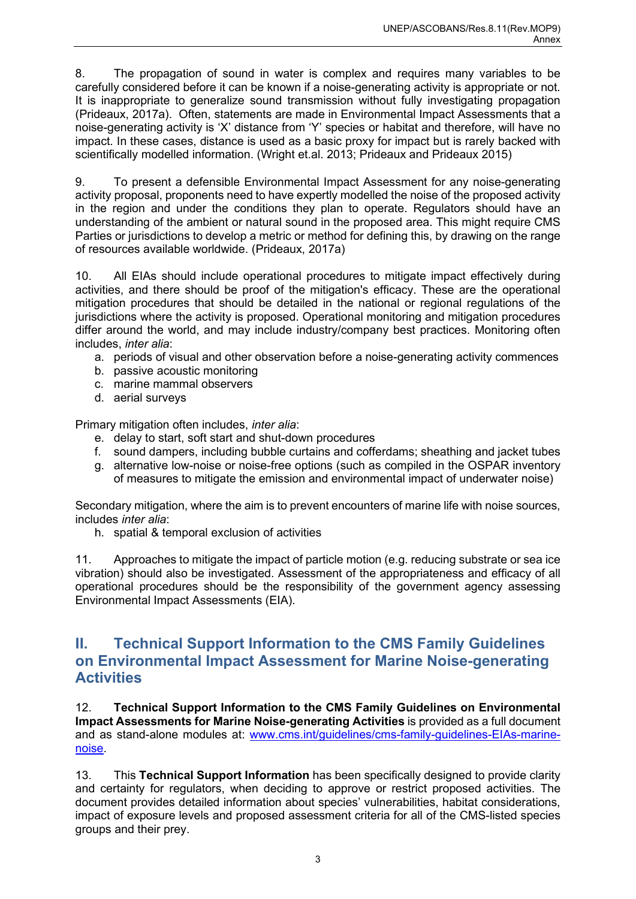8. The propagation of sound in water is complex and requires many variables to be carefully considered before it can be known if a noise-generating activity is appropriate or not. It is inappropriate to generalize sound transmission without fully investigating propagation (Prideaux, 2017a). Often, statements are made in Environmental Impact Assessments that a noise-generating activity is 'X' distance from 'Y' species or habitat and therefore, will have no impact. In these cases, distance is used as a basic proxy for impact but is rarely backed with scientifically modelled information. (Wright et.al. 2013; Prideaux and Prideaux 2015)

9. To present a defensible Environmental Impact Assessment for any noise-generating activity proposal, proponents need to have expertly modelled the noise of the proposed activity in the region and under the conditions they plan to operate. Regulators should have an understanding of the ambient or natural sound in the proposed area. This might require CMS Parties or jurisdictions to develop a metric or method for defining this, by drawing on the range of resources available worldwide. (Prideaux, 2017a)

10. All EIAs should include operational procedures to mitigate impact effectively during activities, and there should be proof of the mitigation's efficacy. These are the operational mitigation procedures that should be detailed in the national or regional regulations of the jurisdictions where the activity is proposed. Operational monitoring and mitigation procedures differ around the world, and may include industry/company best practices. Monitoring often includes, *inter alia*:

- a. periods of visual and other observation before a noise-generating activity commences
- b. passive acoustic monitoring
- c. marine mammal observers
- d. aerial surveys

Primary mitigation often includes, *inter alia*:

- e. delay to start, soft start and shut-down procedures
- f. sound dampers, including bubble curtains and cofferdams; sheathing and jacket tubes
- g. alternative low-noise or noise-free options (such as compiled in the OSPAR inventory of measures to mitigate the emission and environmental impact of underwater noise)

Secondary mitigation, where the aim is to prevent encounters of marine life with noise sources, includes *inter alia*:

h. spatial & temporal exclusion of activities

11. Approaches to mitigate the impact of particle motion (e.g. reducing substrate or sea ice vibration) should also be investigated. Assessment of the appropriateness and efficacy of all operational procedures should be the responsibility of the government agency assessing Environmental Impact Assessments (EIA).

### <span id="page-5-0"></span>**II. Technical Support Information to the CMS Family Guidelines on Environmental Impact Assessment for Marine Noise-generating Activities**

12. **Technical Support Information to the CMS Family Guidelines on Environmental Impact Assessments for Marine Noise-generating Activities** is provided as a full document and as stand-alone modules at: [www.cms.int/guidelines/cms-family-guidelines-EIAs-marine](http://www.cms.int/guidelines/cms-family-guidelines-EIAs-marine-noise)[noise.](http://www.cms.int/guidelines/cms-family-guidelines-EIAs-marine-noise)

13. This **Technical Support Information** has been specifically designed to provide clarity and certainty for regulators, when deciding to approve or restrict proposed activities. The document provides detailed information about species' vulnerabilities, habitat considerations, impact of exposure levels and proposed assessment criteria for all of the CMS-listed species groups and their prey.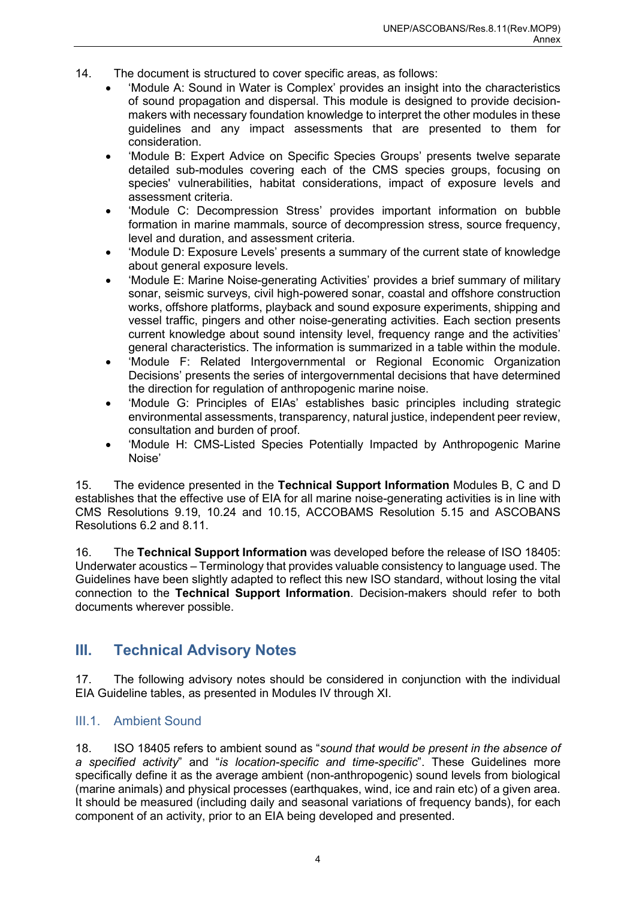- 14. The document is structured to cover specific areas, as follows:
	- 'Module A: Sound in Water is Complex' provides an insight into the characteristics of sound propagation and dispersal. This module is designed to provide decisionmakers with necessary foundation knowledge to interpret the other modules in these guidelines and any impact assessments that are presented to them for consideration.
	- 'Module B: Expert Advice on Specific Species Groups' presents twelve separate detailed sub-modules covering each of the CMS species groups, focusing on species' vulnerabilities, habitat considerations, impact of exposure levels and assessment criteria.
	- 'Module C: Decompression Stress' provides important information on bubble formation in marine mammals, source of decompression stress, source frequency, level and duration, and assessment criteria.
	- 'Module D: Exposure Levels' presents a summary of the current state of knowledge about general exposure levels.
	- 'Module E: Marine Noise-generating Activities' provides a brief summary of military sonar, seismic surveys, civil high-powered sonar, coastal and offshore construction works, offshore platforms, playback and sound exposure experiments, shipping and vessel traffic, pingers and other noise-generating activities. Each section presents current knowledge about sound intensity level, frequency range and the activities' general characteristics. The information is summarized in a table within the module.
	- 'Module F: Related Intergovernmental or Regional Economic Organization Decisions' presents the series of intergovernmental decisions that have determined the direction for regulation of anthropogenic marine noise.
	- 'Module G: Principles of EIAs' establishes basic principles including strategic environmental assessments, transparency, natural justice, independent peer review, consultation and burden of proof.
	- 'Module H: CMS-Listed Species Potentially Impacted by Anthropogenic Marine Noise'

15. The evidence presented in the **Technical Support Information** Modules B, C and D establishes that the effective use of EIA for all marine noise-generating activities is in line with CMS Resolutions 9.19, 10.24 and 10.15, ACCOBAMS Resolution 5.15 and ASCOBANS Resolutions 6.2 and 8.11.

16. The **Technical Support Information** was developed before the release of ISO 18405: Underwater acoustics – Terminology that provides valuable consistency to language used. The Guidelines have been slightly adapted to reflect this new ISO standard, without losing the vital connection to the **Technical Support Information**. Decision-makers should refer to both documents wherever possible.

# <span id="page-6-0"></span>**III. Technical Advisory Notes**

17. The following advisory notes should be considered in conjunction with the individual EIA Guideline tables, as presented in Modules IV through XI.

#### <span id="page-6-1"></span>III.1. Ambient Sound

18. ISO 18405 refers to ambient sound as "*sound that would be present in the absence of a specified activity*" and "*is location-specific and time-specific*". These Guidelines more specifically define it as the average ambient (non-anthropogenic) sound levels from biological (marine animals) and physical processes (earthquakes, wind, ice and rain etc) of a given area. It should be measured (including daily and seasonal variations of frequency bands), for each component of an activity, prior to an EIA being developed and presented.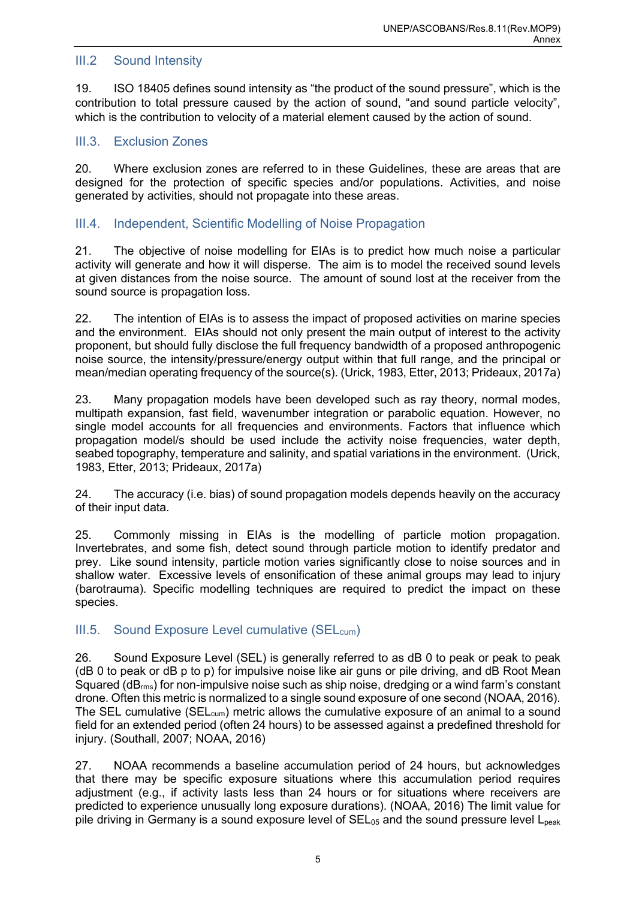#### <span id="page-7-0"></span>III.2 Sound Intensity

19. ISO 18405 defines sound intensity as "the product of the sound pressure", which is the contribution to total pressure caused by the action of sound, "and sound particle velocity", which is the contribution to velocity of a material element caused by the action of sound.

#### <span id="page-7-1"></span>III.3. Exclusion Zones

20. Where exclusion zones are referred to in these Guidelines, these are areas that are designed for the protection of specific species and/or populations. Activities, and noise generated by activities, should not propagate into these areas.

#### <span id="page-7-2"></span>III.4. Independent, Scientific Modelling of Noise Propagation

21. The objective of noise modelling for EIAs is to predict how much noise a particular activity will generate and how it will disperse. The aim is to model the received sound levels at given distances from the noise source. The amount of sound lost at the receiver from the sound source is propagation loss.

22. The intention of EIAs is to assess the impact of proposed activities on marine species and the environment. EIAs should not only present the main output of interest to the activity proponent, but should fully disclose the full frequency bandwidth of a proposed anthropogenic noise source, the intensity/pressure/energy output within that full range, and the principal or mean/median operating frequency of the source(s). (Urick, 1983, Etter, 2013; Prideaux, 2017a)

23. Many propagation models have been developed such as ray theory, normal modes, multipath expansion, fast field, wavenumber integration or parabolic equation. However, no single model accounts for all frequencies and environments. Factors that influence which propagation model/s should be used include the activity noise frequencies, water depth, seabed topography, temperature and salinity, and spatial variations in the environment. (Urick, 1983, Etter, 2013; Prideaux, 2017a)

24. The accuracy (i.e. bias) of sound propagation models depends heavily on the accuracy of their input data.

25. Commonly missing in EIAs is the modelling of particle motion propagation. Invertebrates, and some fish, detect sound through particle motion to identify predator and prey. Like sound intensity, particle motion varies significantly close to noise sources and in shallow water. Excessive levels of ensonification of these animal groups may lead to injury (barotrauma). Specific modelling techniques are required to predict the impact on these species.

#### <span id="page-7-3"></span>III.5. Sound Exposure Level cumulative (SEL<sub>cum</sub>)

26. Sound Exposure Level (SEL) is generally referred to as dB 0 to peak or peak to peak (dB 0 to peak or dB p to p) for impulsive noise like air guns or pile driving, and dB Root Mean Squared (dBrms) for non-impulsive noise such as ship noise, dredging or a wind farm's constant drone. Often this metric is normalized to a single sound exposure of one second (NOAA, 2016). The SEL cumulative (SEL<sub>cum</sub>) metric allows the cumulative exposure of an animal to a sound field for an extended period (often 24 hours) to be assessed against a predefined threshold for injury. (Southall, 2007; NOAA, 2016)

27. NOAA recommends a baseline accumulation period of 24 hours, but acknowledges that there may be specific exposure situations where this accumulation period requires adjustment (e.g., if activity lasts less than 24 hours or for situations where receivers are predicted to experience unusually long exposure durations). (NOAA, 2016) The limit value for pile driving in Germany is a sound exposure level of  $SEL_{05}$  and the sound pressure level  $L_{peak}$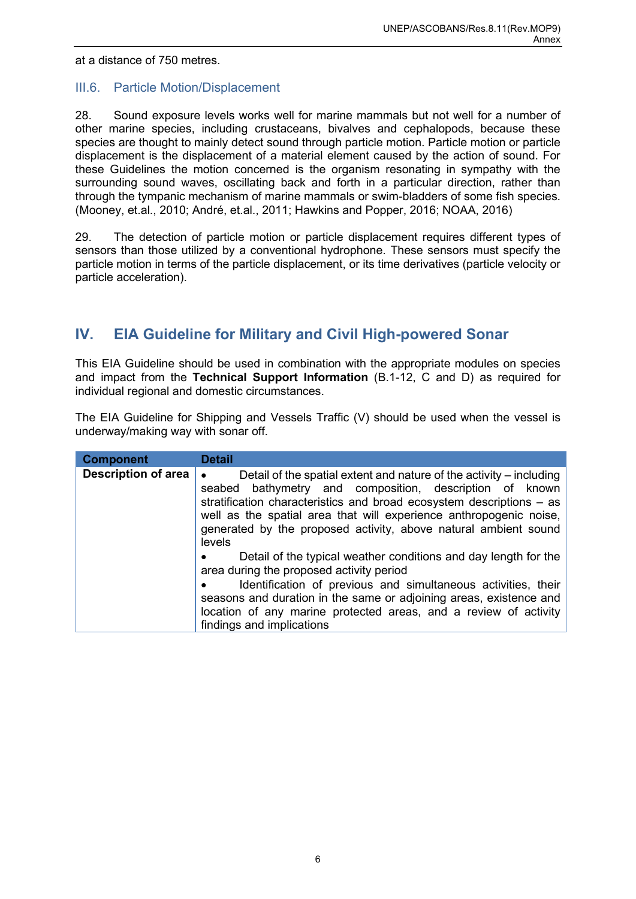at a distance of 750 metres.

#### <span id="page-8-0"></span>III.6. Particle Motion/Displacement

28. Sound exposure levels works well for marine mammals but not well for a number of other marine species, including crustaceans, bivalves and cephalopods, because these species are thought to mainly detect sound through particle motion. Particle motion or particle displacement is the displacement of a material element caused by the action of sound. For these Guidelines the motion concerned is the organism resonating in sympathy with the surrounding sound waves, oscillating back and forth in a particular direction, rather than through the tympanic mechanism of marine mammals or swim-bladders of some fish species. (Mooney, et.al., 2010; André, et.al., 2011; Hawkins and Popper, 2016; NOAA, 2016)

29. The detection of particle motion or particle displacement requires different types of sensors than those utilized by a conventional hydrophone. These sensors must specify the particle motion in terms of the particle displacement, or its time derivatives (particle velocity or particle acceleration).

### <span id="page-8-1"></span>**IV. EIA Guideline for Military and Civil High-powered Sonar**

This EIA Guideline should be used in combination with the appropriate modules on species and impact from the **Technical Support Information** (B.1-12, C and D) as required for individual regional and domestic circumstances.

The EIA Guideline for Shipping and Vessels Traffic (V) should be used when the vessel is underway/making way with sonar off.

| <b>Component</b>    | <b>Detail</b>                                                                                                                                                                                                                                                                                                                                                    |
|---------------------|------------------------------------------------------------------------------------------------------------------------------------------------------------------------------------------------------------------------------------------------------------------------------------------------------------------------------------------------------------------|
| Description of area | Detail of the spatial extent and nature of the activity – including<br>seabed bathymetry and composition, description of known<br>stratification characteristics and broad ecosystem descriptions - as<br>well as the spatial area that will experience anthropogenic noise,<br>generated by the proposed activity, above natural ambient sound<br>levels        |
|                     | Detail of the typical weather conditions and day length for the<br>$\bullet$<br>area during the proposed activity period<br>Identification of previous and simultaneous activities, their<br>seasons and duration in the same or adjoining areas, existence and<br>location of any marine protected areas, and a review of activity<br>findings and implications |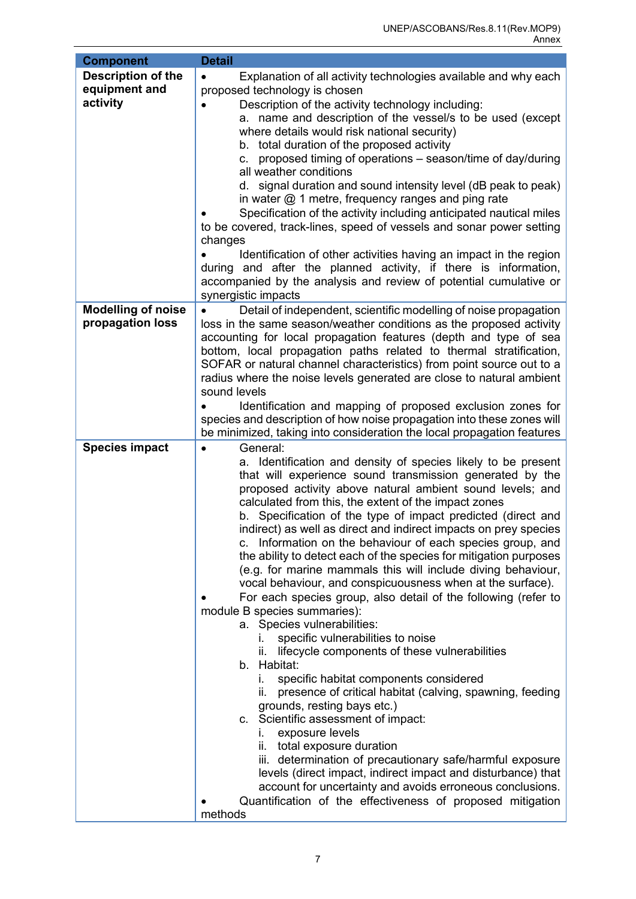| <b>Component</b>                                       | <b>Detail</b>                                                                                                                                                                                                                                                                                                                                                                                                                                                                                                                                                                                                                                                                                                                                                                                                                                                                                                                                                                                                                                                                                                                                                                                                                                                                                                                                                                                                                                  |
|--------------------------------------------------------|------------------------------------------------------------------------------------------------------------------------------------------------------------------------------------------------------------------------------------------------------------------------------------------------------------------------------------------------------------------------------------------------------------------------------------------------------------------------------------------------------------------------------------------------------------------------------------------------------------------------------------------------------------------------------------------------------------------------------------------------------------------------------------------------------------------------------------------------------------------------------------------------------------------------------------------------------------------------------------------------------------------------------------------------------------------------------------------------------------------------------------------------------------------------------------------------------------------------------------------------------------------------------------------------------------------------------------------------------------------------------------------------------------------------------------------------|
| <b>Description of the</b><br>equipment and<br>activity | Explanation of all activity technologies available and why each<br>$\bullet$<br>proposed technology is chosen<br>Description of the activity technology including:<br>a. name and description of the vessel/s to be used (except<br>where details would risk national security)<br>b. total duration of the proposed activity<br>proposed timing of operations – season/time of day/during<br>C.<br>all weather conditions<br>d. signal duration and sound intensity level (dB peak to peak)<br>in water $@$ 1 metre, frequency ranges and ping rate<br>Specification of the activity including anticipated nautical miles<br>to be covered, track-lines, speed of vessels and sonar power setting<br>changes<br>Identification of other activities having an impact in the region<br>during and after the planned activity, if there is information,<br>accompanied by the analysis and review of potential cumulative or<br>synergistic impacts                                                                                                                                                                                                                                                                                                                                                                                                                                                                                              |
| <b>Modelling of noise</b><br>propagation loss          | Detail of independent, scientific modelling of noise propagation<br>loss in the same season/weather conditions as the proposed activity<br>accounting for local propagation features (depth and type of sea<br>bottom, local propagation paths related to thermal stratification,<br>SOFAR or natural channel characteristics) from point source out to a<br>radius where the noise levels generated are close to natural ambient<br>sound levels<br>Identification and mapping of proposed exclusion zones for<br>species and description of how noise propagation into these zones will<br>be minimized, taking into consideration the local propagation features                                                                                                                                                                                                                                                                                                                                                                                                                                                                                                                                                                                                                                                                                                                                                                            |
| <b>Species impact</b>                                  | General:<br>$\bullet$<br>a. Identification and density of species likely to be present<br>that will experience sound transmission generated by the<br>proposed activity above natural ambient sound levels; and<br>calculated from this, the extent of the impact zones<br>b. Specification of the type of impact predicted (direct and<br>indirect) as well as direct and indirect impacts on prey species<br>c. Information on the behaviour of each species group, and<br>the ability to detect each of the species for mitigation purposes<br>(e.g. for marine mammals this will include diving behaviour,<br>vocal behaviour, and conspicuousness when at the surface).<br>For each species group, also detail of the following (refer to<br>module B species summaries):<br>a. Species vulnerabilities:<br>specific vulnerabilities to noise<br>L.<br>lifecycle components of these vulnerabilities<br>b. Habitat:<br>specific habitat components considered<br>L.<br>presence of critical habitat (calving, spawning, feeding<br>н.<br>grounds, resting bays etc.)<br>c. Scientific assessment of impact:<br>exposure levels<br>i.<br>total exposure duration<br>ii.<br>iii. determination of precautionary safe/harmful exposure<br>levels (direct impact, indirect impact and disturbance) that<br>account for uncertainty and avoids erroneous conclusions.<br>Quantification of the effectiveness of proposed mitigation<br>methods |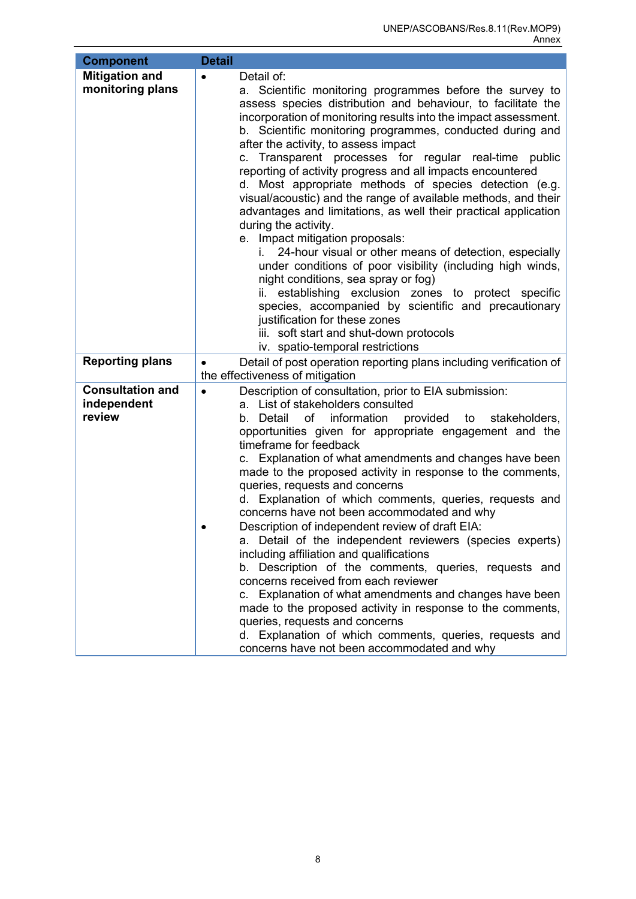<span id="page-10-0"></span>

| <b>Component</b>        | <b>Detail</b>                                                                                   |
|-------------------------|-------------------------------------------------------------------------------------------------|
| <b>Mitigation and</b>   | Detail of:<br>$\bullet$                                                                         |
| monitoring plans        | a. Scientific monitoring programmes before the survey to                                        |
|                         | assess species distribution and behaviour, to facilitate the                                    |
|                         | incorporation of monitoring results into the impact assessment.                                 |
|                         | b. Scientific monitoring programmes, conducted during and                                       |
|                         | after the activity, to assess impact                                                            |
|                         | c. Transparent processes for regular real-time public                                           |
|                         | reporting of activity progress and all impacts encountered                                      |
|                         | d. Most appropriate methods of species detection (e.g.                                          |
|                         | visual/acoustic) and the range of available methods, and their                                  |
|                         | advantages and limitations, as well their practical application                                 |
|                         | during the activity.                                                                            |
|                         | e. Impact mitigation proposals:<br>24-hour visual or other means of detection, especially<br>i. |
|                         | under conditions of poor visibility (including high winds,                                      |
|                         | night conditions, sea spray or fog)                                                             |
|                         | establishing exclusion zones to protect specific                                                |
|                         | species, accompanied by scientific and precautionary                                            |
|                         | justification for these zones                                                                   |
|                         | iii. soft start and shut-down protocols                                                         |
|                         | iv. spatio-temporal restrictions                                                                |
| <b>Reporting plans</b>  | Detail of post operation reporting plans including verification of<br>$\bullet$                 |
|                         | the effectiveness of mitigation                                                                 |
| <b>Consultation and</b> | Description of consultation, prior to EIA submission:<br>$\bullet$                              |
| independent             | a. List of stakeholders consulted                                                               |
| review                  | information provided to<br>b. Detail<br>of<br>stakeholders,                                     |
|                         | opportunities given for appropriate engagement and the<br>timeframe for feedback                |
|                         | c. Explanation of what amendments and changes have been                                         |
|                         | made to the proposed activity in response to the comments,                                      |
|                         | queries, requests and concerns                                                                  |
|                         | d. Explanation of which comments, queries, requests and                                         |
|                         | concerns have not been accommodated and why                                                     |
|                         | Description of independent review of draft EIA:                                                 |
|                         | a. Detail of the independent reviewers (species experts)                                        |
|                         | including affiliation and qualifications                                                        |
|                         | b. Description of the comments, queries, requests and                                           |
|                         | concerns received from each reviewer                                                            |
|                         | c. Explanation of what amendments and changes have been                                         |
|                         | made to the proposed activity in response to the comments,                                      |
|                         | queries, requests and concerns<br>d. Explanation of which comments, queries, requests and       |
|                         | concerns have not been accommodated and why                                                     |
|                         |                                                                                                 |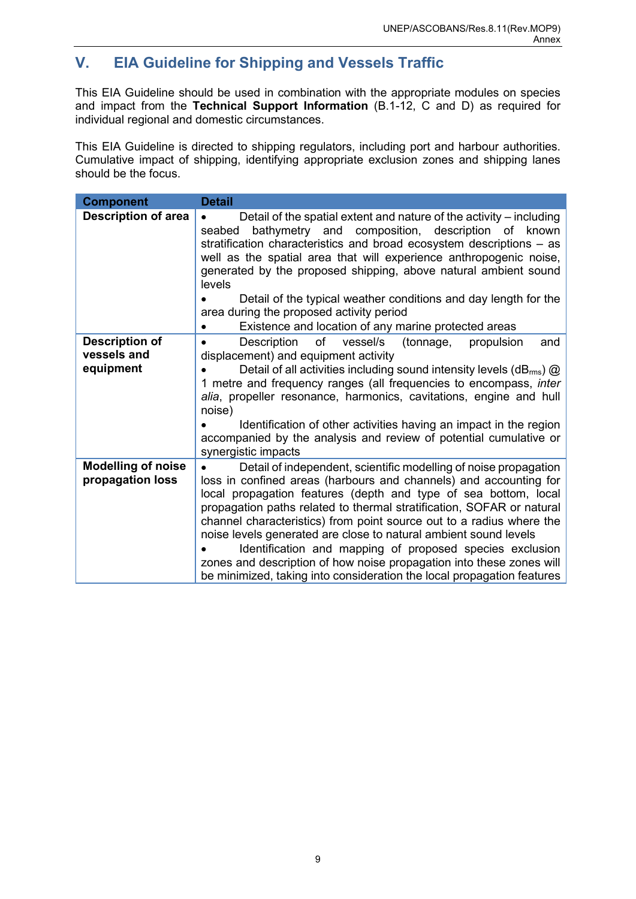# **V. EIA Guideline for Shipping and Vessels Traffic**

This EIA Guideline should be used in combination with the appropriate modules on species and impact from the **Technical Support Information** (B.1-12, C and D) as required for individual regional and domestic circumstances.

This EIA Guideline is directed to shipping regulators, including port and harbour authorities. Cumulative impact of shipping, identifying appropriate exclusion zones and shipping lanes should be the focus.

| <b>Component</b>                              | <b>Detail</b>                                                                                                                                                                                                                                                                                                                                                                                                                                                                                                                                                                                                                               |
|-----------------------------------------------|---------------------------------------------------------------------------------------------------------------------------------------------------------------------------------------------------------------------------------------------------------------------------------------------------------------------------------------------------------------------------------------------------------------------------------------------------------------------------------------------------------------------------------------------------------------------------------------------------------------------------------------------|
| <b>Description of area</b>                    | Detail of the spatial extent and nature of the activity – including<br>bathymetry and composition, description of known<br>seabed<br>stratification characteristics and broad ecosystem descriptions – as<br>well as the spatial area that will experience anthropogenic noise,<br>generated by the proposed shipping, above natural ambient sound<br>levels<br>Detail of the typical weather conditions and day length for the<br>area during the proposed activity period<br>Existence and location of any marine protected areas                                                                                                         |
| <b>Description of</b>                         | Description<br>of<br>vessel/s<br>(tonnage,<br>propulsion<br>and<br>$\bullet$                                                                                                                                                                                                                                                                                                                                                                                                                                                                                                                                                                |
| vessels and                                   | displacement) and equipment activity                                                                                                                                                                                                                                                                                                                                                                                                                                                                                                                                                                                                        |
| equipment                                     | Detail of all activities including sound intensity levels ( $dB_{\rm rms}$ ) $\omega$<br>1 metre and frequency ranges (all frequencies to encompass, inter<br>alia, propeller resonance, harmonics, cavitations, engine and hull<br>noise)<br>Identification of other activities having an impact in the region<br>accompanied by the analysis and review of potential cumulative or<br>synergistic impacts                                                                                                                                                                                                                                 |
| <b>Modelling of noise</b><br>propagation loss | Detail of independent, scientific modelling of noise propagation<br>loss in confined areas (harbours and channels) and accounting for<br>local propagation features (depth and type of sea bottom, local<br>propagation paths related to thermal stratification, SOFAR or natural<br>channel characteristics) from point source out to a radius where the<br>noise levels generated are close to natural ambient sound levels<br>Identification and mapping of proposed species exclusion<br>zones and description of how noise propagation into these zones will<br>be minimized, taking into consideration the local propagation features |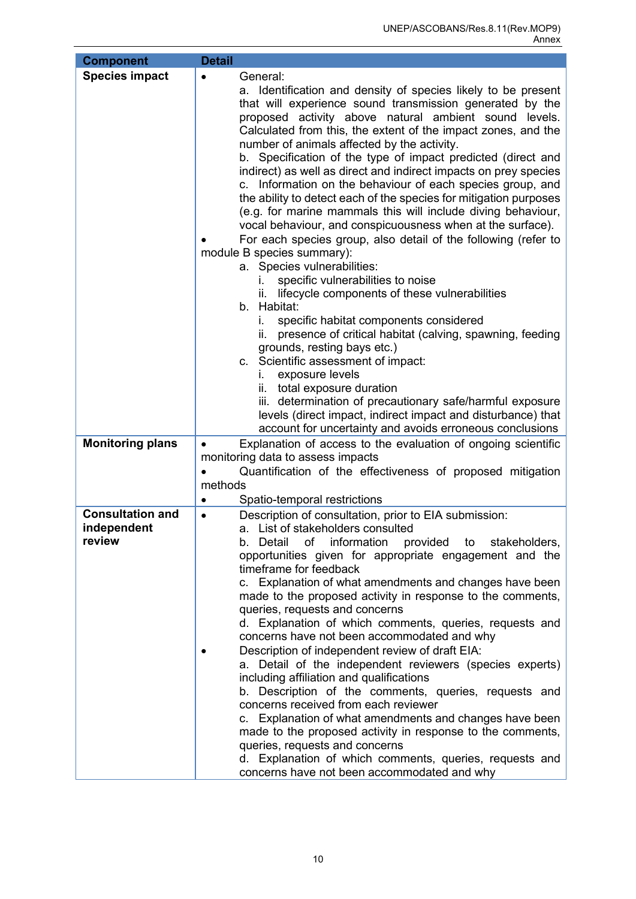| <b>Component</b>        | <b>Detail</b>                                                                                                                                                                                                                                                                                                                                                                                                                                                                                                                                                                                                                                                                                                                                                                                                                                                                                                                                                                                                                                                                                                                                                                                                                                                                                                                                                                                                               |
|-------------------------|-----------------------------------------------------------------------------------------------------------------------------------------------------------------------------------------------------------------------------------------------------------------------------------------------------------------------------------------------------------------------------------------------------------------------------------------------------------------------------------------------------------------------------------------------------------------------------------------------------------------------------------------------------------------------------------------------------------------------------------------------------------------------------------------------------------------------------------------------------------------------------------------------------------------------------------------------------------------------------------------------------------------------------------------------------------------------------------------------------------------------------------------------------------------------------------------------------------------------------------------------------------------------------------------------------------------------------------------------------------------------------------------------------------------------------|
| <b>Species impact</b>   | General:<br>$\bullet$<br>a. Identification and density of species likely to be present<br>that will experience sound transmission generated by the<br>proposed activity above natural ambient sound levels.<br>Calculated from this, the extent of the impact zones, and the<br>number of animals affected by the activity.<br>b. Specification of the type of impact predicted (direct and<br>indirect) as well as direct and indirect impacts on prey species<br>c. Information on the behaviour of each species group, and<br>the ability to detect each of the species for mitigation purposes<br>(e.g. for marine mammals this will include diving behaviour,<br>vocal behaviour, and conspicuousness when at the surface).<br>For each species group, also detail of the following (refer to<br>module B species summary):<br>a. Species vulnerabilities:<br>specific vulnerabilities to noise<br>L.<br>lifecycle components of these vulnerabilities<br>ÎĹ.<br>b. Habitat:<br>specific habitat components considered<br>i.<br>presence of critical habitat (calving, spawning, feeding<br>ii.<br>grounds, resting bays etc.)<br>c. Scientific assessment of impact:<br>exposure levels<br>i.<br>ii. total exposure duration<br>iii. determination of precautionary safe/harmful exposure<br>levels (direct impact, indirect impact and disturbance) that<br>account for uncertainty and avoids erroneous conclusions |
| <b>Monitoring plans</b> | Explanation of access to the evaluation of ongoing scientific<br>$\bullet$                                                                                                                                                                                                                                                                                                                                                                                                                                                                                                                                                                                                                                                                                                                                                                                                                                                                                                                                                                                                                                                                                                                                                                                                                                                                                                                                                  |
|                         | monitoring data to assess impacts<br>Quantification of the effectiveness of proposed mitigation                                                                                                                                                                                                                                                                                                                                                                                                                                                                                                                                                                                                                                                                                                                                                                                                                                                                                                                                                                                                                                                                                                                                                                                                                                                                                                                             |
|                         | methods                                                                                                                                                                                                                                                                                                                                                                                                                                                                                                                                                                                                                                                                                                                                                                                                                                                                                                                                                                                                                                                                                                                                                                                                                                                                                                                                                                                                                     |
|                         | Spatio-temporal restrictions<br>$\bullet$                                                                                                                                                                                                                                                                                                                                                                                                                                                                                                                                                                                                                                                                                                                                                                                                                                                                                                                                                                                                                                                                                                                                                                                                                                                                                                                                                                                   |
| <b>Consultation and</b> | Description of consultation, prior to EIA submission:<br>$\bullet$                                                                                                                                                                                                                                                                                                                                                                                                                                                                                                                                                                                                                                                                                                                                                                                                                                                                                                                                                                                                                                                                                                                                                                                                                                                                                                                                                          |
| independent<br>review   | a. List of stakeholders consulted                                                                                                                                                                                                                                                                                                                                                                                                                                                                                                                                                                                                                                                                                                                                                                                                                                                                                                                                                                                                                                                                                                                                                                                                                                                                                                                                                                                           |
|                         | information<br>b. Detail<br>оf<br>provided<br>stakeholders,<br>to<br>opportunities given for appropriate engagement and the                                                                                                                                                                                                                                                                                                                                                                                                                                                                                                                                                                                                                                                                                                                                                                                                                                                                                                                                                                                                                                                                                                                                                                                                                                                                                                 |
|                         | timeframe for feedback                                                                                                                                                                                                                                                                                                                                                                                                                                                                                                                                                                                                                                                                                                                                                                                                                                                                                                                                                                                                                                                                                                                                                                                                                                                                                                                                                                                                      |
|                         | c. Explanation of what amendments and changes have been                                                                                                                                                                                                                                                                                                                                                                                                                                                                                                                                                                                                                                                                                                                                                                                                                                                                                                                                                                                                                                                                                                                                                                                                                                                                                                                                                                     |
|                         | made to the proposed activity in response to the comments,<br>queries, requests and concerns                                                                                                                                                                                                                                                                                                                                                                                                                                                                                                                                                                                                                                                                                                                                                                                                                                                                                                                                                                                                                                                                                                                                                                                                                                                                                                                                |
|                         | d. Explanation of which comments, queries, requests and                                                                                                                                                                                                                                                                                                                                                                                                                                                                                                                                                                                                                                                                                                                                                                                                                                                                                                                                                                                                                                                                                                                                                                                                                                                                                                                                                                     |
|                         | concerns have not been accommodated and why                                                                                                                                                                                                                                                                                                                                                                                                                                                                                                                                                                                                                                                                                                                                                                                                                                                                                                                                                                                                                                                                                                                                                                                                                                                                                                                                                                                 |
|                         | Description of independent review of draft EIA:                                                                                                                                                                                                                                                                                                                                                                                                                                                                                                                                                                                                                                                                                                                                                                                                                                                                                                                                                                                                                                                                                                                                                                                                                                                                                                                                                                             |
|                         | a. Detail of the independent reviewers (species experts)<br>including affiliation and qualifications                                                                                                                                                                                                                                                                                                                                                                                                                                                                                                                                                                                                                                                                                                                                                                                                                                                                                                                                                                                                                                                                                                                                                                                                                                                                                                                        |
|                         | b. Description of the comments, queries, requests and                                                                                                                                                                                                                                                                                                                                                                                                                                                                                                                                                                                                                                                                                                                                                                                                                                                                                                                                                                                                                                                                                                                                                                                                                                                                                                                                                                       |
|                         | concerns received from each reviewer                                                                                                                                                                                                                                                                                                                                                                                                                                                                                                                                                                                                                                                                                                                                                                                                                                                                                                                                                                                                                                                                                                                                                                                                                                                                                                                                                                                        |
|                         | c. Explanation of what amendments and changes have been<br>made to the proposed activity in response to the comments,                                                                                                                                                                                                                                                                                                                                                                                                                                                                                                                                                                                                                                                                                                                                                                                                                                                                                                                                                                                                                                                                                                                                                                                                                                                                                                       |
|                         | queries, requests and concerns                                                                                                                                                                                                                                                                                                                                                                                                                                                                                                                                                                                                                                                                                                                                                                                                                                                                                                                                                                                                                                                                                                                                                                                                                                                                                                                                                                                              |
|                         | d. Explanation of which comments, queries, requests and                                                                                                                                                                                                                                                                                                                                                                                                                                                                                                                                                                                                                                                                                                                                                                                                                                                                                                                                                                                                                                                                                                                                                                                                                                                                                                                                                                     |
|                         | concerns have not been accommodated and why                                                                                                                                                                                                                                                                                                                                                                                                                                                                                                                                                                                                                                                                                                                                                                                                                                                                                                                                                                                                                                                                                                                                                                                                                                                                                                                                                                                 |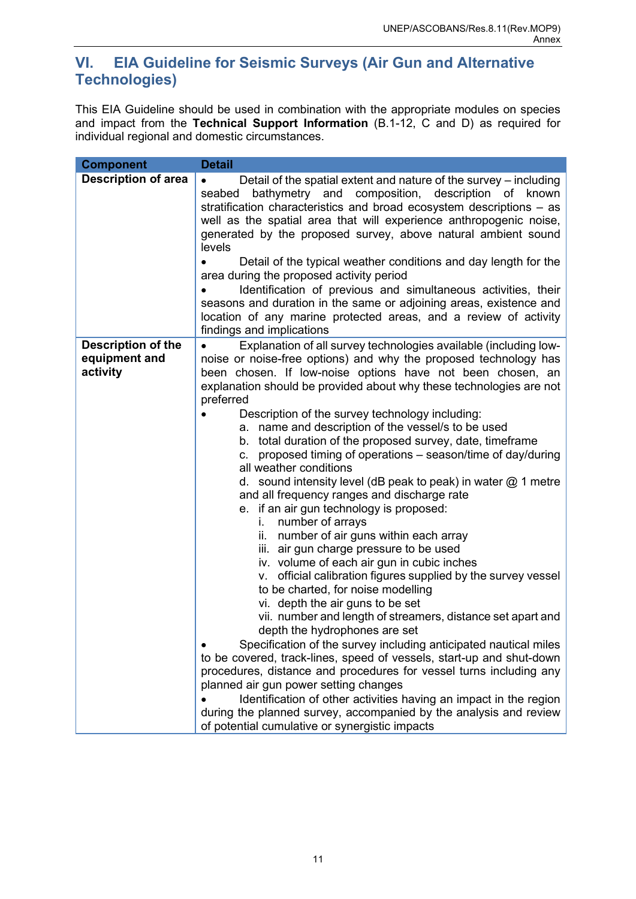# <span id="page-13-0"></span>**VI. EIA Guideline for Seismic Surveys (Air Gun and Alternative Technologies)**

This EIA Guideline should be used in combination with the appropriate modules on species and impact from the **Technical Support Information** (B.1-12, C and D) as required for individual regional and domestic circumstances.

| <b>Component</b>                                       | <b>Detail</b>                                                                                                                                                                                                                                                                                                                                                                                                                                                                                                                                                                                                                                                                                                                                                                                                                                                                                                                                                                                                                                                                                                                                                                                                                                                                                                                                                                                                                                                                                                                                                                                      |
|--------------------------------------------------------|----------------------------------------------------------------------------------------------------------------------------------------------------------------------------------------------------------------------------------------------------------------------------------------------------------------------------------------------------------------------------------------------------------------------------------------------------------------------------------------------------------------------------------------------------------------------------------------------------------------------------------------------------------------------------------------------------------------------------------------------------------------------------------------------------------------------------------------------------------------------------------------------------------------------------------------------------------------------------------------------------------------------------------------------------------------------------------------------------------------------------------------------------------------------------------------------------------------------------------------------------------------------------------------------------------------------------------------------------------------------------------------------------------------------------------------------------------------------------------------------------------------------------------------------------------------------------------------------------|
| <b>Description of area</b>                             | Detail of the spatial extent and nature of the survey – including<br>bathymetry and composition, description of known<br>seabed<br>stratification characteristics and broad ecosystem descriptions – as<br>well as the spatial area that will experience anthropogenic noise,<br>generated by the proposed survey, above natural ambient sound<br>levels<br>Detail of the typical weather conditions and day length for the<br>area during the proposed activity period<br>Identification of previous and simultaneous activities, their<br>seasons and duration in the same or adjoining areas, existence and<br>location of any marine protected areas, and a review of activity<br>findings and implications                                                                                                                                                                                                                                                                                                                                                                                                                                                                                                                                                                                                                                                                                                                                                                                                                                                                                    |
| <b>Description of the</b><br>equipment and<br>activity | Explanation of all survey technologies available (including low-<br>$\bullet$<br>noise or noise-free options) and why the proposed technology has<br>been chosen. If low-noise options have not been chosen, an<br>explanation should be provided about why these technologies are not<br>preferred<br>Description of the survey technology including:<br>a. name and description of the vessel/s to be used<br>b. total duration of the proposed survey, date, timeframe<br>c. proposed timing of operations – season/time of day/during<br>all weather conditions<br>d. sound intensity level (dB peak to peak) in water $@$ 1 metre<br>and all frequency ranges and discharge rate<br>e. if an air gun technology is proposed:<br>number of arrays<br>i.<br>ii. number of air guns within each array<br>iii. air gun charge pressure to be used<br>iv. volume of each air gun in cubic inches<br>v. official calibration figures supplied by the survey vessel<br>to be charted, for noise modelling<br>vi. depth the air guns to be set<br>vii. number and length of streamers, distance set apart and<br>depth the hydrophones are set<br>Specification of the survey including anticipated nautical miles<br>to be covered, track-lines, speed of vessels, start-up and shut-down<br>procedures, distance and procedures for vessel turns including any<br>planned air gun power setting changes<br>Identification of other activities having an impact in the region<br>during the planned survey, accompanied by the analysis and review<br>of potential cumulative or synergistic impacts |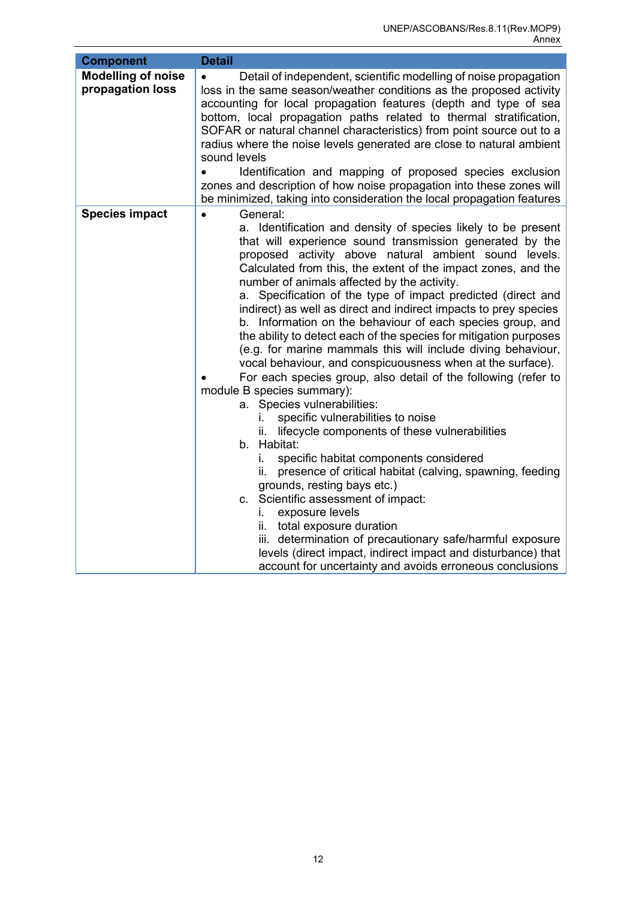| <b>Component</b>                              | <b>Detail</b>                                                                                                                                                                                                                                                                                                                                                                                                                                                                                                                                                                                                                                                                                                                                                                                                                                                                                                                                                                                                                                                                                                                                                                                                                                                                                                                                                                                                        |
|-----------------------------------------------|----------------------------------------------------------------------------------------------------------------------------------------------------------------------------------------------------------------------------------------------------------------------------------------------------------------------------------------------------------------------------------------------------------------------------------------------------------------------------------------------------------------------------------------------------------------------------------------------------------------------------------------------------------------------------------------------------------------------------------------------------------------------------------------------------------------------------------------------------------------------------------------------------------------------------------------------------------------------------------------------------------------------------------------------------------------------------------------------------------------------------------------------------------------------------------------------------------------------------------------------------------------------------------------------------------------------------------------------------------------------------------------------------------------------|
| <b>Modelling of noise</b><br>propagation loss | Detail of independent, scientific modelling of noise propagation<br>loss in the same season/weather conditions as the proposed activity<br>accounting for local propagation features (depth and type of sea<br>bottom, local propagation paths related to thermal stratification,<br>SOFAR or natural channel characteristics) from point source out to a<br>radius where the noise levels generated are close to natural ambient<br>sound levels<br>Identification and mapping of proposed species exclusion<br>zones and description of how noise propagation into these zones will<br>be minimized, taking into consideration the local propagation features                                                                                                                                                                                                                                                                                                                                                                                                                                                                                                                                                                                                                                                                                                                                                      |
| <b>Species impact</b>                         | General:<br>$\bullet$<br>a. Identification and density of species likely to be present<br>that will experience sound transmission generated by the<br>proposed activity above natural ambient sound levels.<br>Calculated from this, the extent of the impact zones, and the<br>number of animals affected by the activity.<br>a. Specification of the type of impact predicted (direct and<br>indirect) as well as direct and indirect impacts to prey species<br>b. Information on the behaviour of each species group, and<br>the ability to detect each of the species for mitigation purposes<br>(e.g. for marine mammals this will include diving behaviour,<br>vocal behaviour, and conspicuousness when at the surface).<br>For each species group, also detail of the following (refer to<br>module B species summary):<br>a. Species vulnerabilities:<br>specific vulnerabilities to noise<br>ı.<br>lifecycle components of these vulnerabilities<br>b. Habitat:<br>specific habitat components considered<br>İ.<br>presence of critical habitat (calving, spawning, feeding<br>ii.<br>grounds, resting bays etc.)<br>c. Scientific assessment of impact:<br>exposure levels<br>İ.<br>ii. total exposure duration<br>iii. determination of precautionary safe/harmful exposure<br>levels (direct impact, indirect impact and disturbance) that<br>account for uncertainty and avoids erroneous conclusions |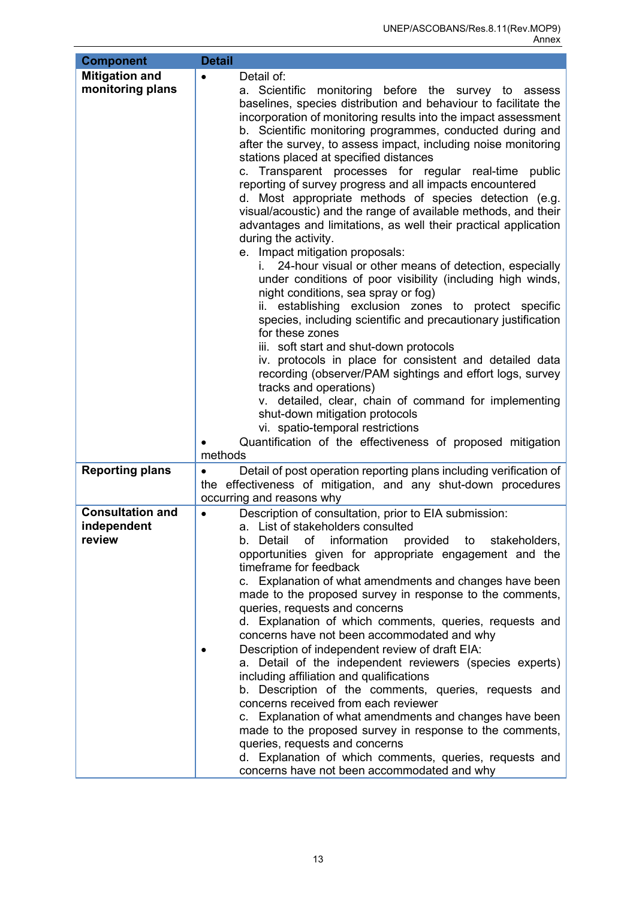| <b>Component</b>                                 | <b>Detail</b>                                                                                                                                                                                                                                                                                                                                                                                                                                                                                                                                                                                                                                                                                                                                                                                                                                                                                                                                                                                                                                                                                                                                                                                                                                                                                                                                                                                                                                                                                   |
|--------------------------------------------------|-------------------------------------------------------------------------------------------------------------------------------------------------------------------------------------------------------------------------------------------------------------------------------------------------------------------------------------------------------------------------------------------------------------------------------------------------------------------------------------------------------------------------------------------------------------------------------------------------------------------------------------------------------------------------------------------------------------------------------------------------------------------------------------------------------------------------------------------------------------------------------------------------------------------------------------------------------------------------------------------------------------------------------------------------------------------------------------------------------------------------------------------------------------------------------------------------------------------------------------------------------------------------------------------------------------------------------------------------------------------------------------------------------------------------------------------------------------------------------------------------|
| <b>Mitigation and</b><br>monitoring plans        | Detail of:<br>$\bullet$<br>a. Scientific monitoring before the survey to assess<br>baselines, species distribution and behaviour to facilitate the<br>incorporation of monitoring results into the impact assessment<br>b. Scientific monitoring programmes, conducted during and<br>after the survey, to assess impact, including noise monitoring<br>stations placed at specified distances<br>c. Transparent processes for regular real-time public<br>reporting of survey progress and all impacts encountered<br>d. Most appropriate methods of species detection (e.g.<br>visual/acoustic) and the range of available methods, and their<br>advantages and limitations, as well their practical application<br>during the activity.<br>e. Impact mitigation proposals:<br>24-hour visual or other means of detection, especially<br>under conditions of poor visibility (including high winds,<br>night conditions, sea spray or fog)<br>establishing exclusion zones to protect specific<br>ii.<br>species, including scientific and precautionary justification<br>for these zones<br>iii. soft start and shut-down protocols<br>iv. protocols in place for consistent and detailed data<br>recording (observer/PAM sightings and effort logs, survey<br>tracks and operations)<br>v. detailed, clear, chain of command for implementing<br>shut-down mitigation protocols<br>vi. spatio-temporal restrictions<br>Quantification of the effectiveness of proposed mitigation<br>methods |
| <b>Reporting plans</b>                           | Detail of post operation reporting plans including verification of<br>$\bullet$<br>the effectiveness of mitigation, and any shut-down procedures<br>occurring and reasons why                                                                                                                                                                                                                                                                                                                                                                                                                                                                                                                                                                                                                                                                                                                                                                                                                                                                                                                                                                                                                                                                                                                                                                                                                                                                                                                   |
| <b>Consultation and</b><br>independent<br>review | Description of consultation, prior to EIA submission:<br>$\bullet$<br>a. List of stakeholders consulted<br>b. Detail<br>information<br>provided to<br>of<br>stakeholders,<br>opportunities given for appropriate engagement and the<br>timeframe for feedback<br>c. Explanation of what amendments and changes have been<br>made to the proposed survey in response to the comments,<br>queries, requests and concerns<br>d. Explanation of which comments, queries, requests and<br>concerns have not been accommodated and why<br>Description of independent review of draft EIA:<br>a. Detail of the independent reviewers (species experts)<br>including affiliation and qualifications<br>b. Description of the comments, queries, requests and<br>concerns received from each reviewer<br>c. Explanation of what amendments and changes have been<br>made to the proposed survey in response to the comments,<br>queries, requests and concerns<br>d. Explanation of which comments, queries, requests and<br>concerns have not been accommodated and why                                                                                                                                                                                                                                                                                                                                                                                                                                 |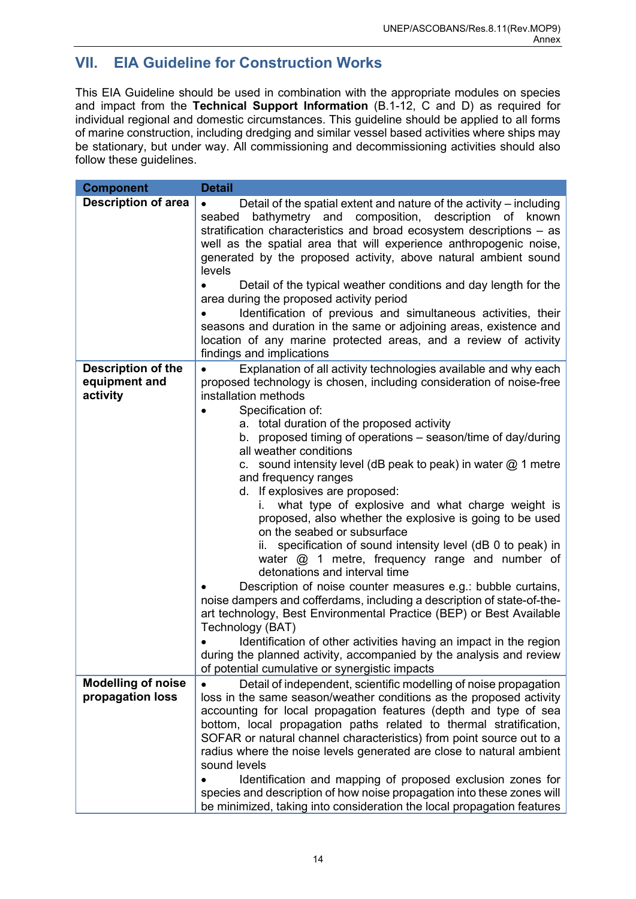# <span id="page-16-0"></span>**VII. EIA Guideline for Construction Works**

This EIA Guideline should be used in combination with the appropriate modules on species and impact from the **Technical Support Information** (B.1-12, C and D) as required for individual regional and domestic circumstances. This guideline should be applied to all forms of marine construction, including dredging and similar vessel based activities where ships may be stationary, but under way. All commissioning and decommissioning activities should also follow these guidelines.

| <b>Component</b>                                       | <b>Detail</b>                                                                                                                                                                                                                                                                                                                                                                                                                                                                                                   |
|--------------------------------------------------------|-----------------------------------------------------------------------------------------------------------------------------------------------------------------------------------------------------------------------------------------------------------------------------------------------------------------------------------------------------------------------------------------------------------------------------------------------------------------------------------------------------------------|
| <b>Description of area</b>                             | Detail of the spatial extent and nature of the activity – including<br>$\bullet$<br>bathymetry and composition, description of known<br>seabed<br>stratification characteristics and broad ecosystem descriptions - as<br>well as the spatial area that will experience anthropogenic noise,<br>generated by the proposed activity, above natural ambient sound<br>levels                                                                                                                                       |
|                                                        | Detail of the typical weather conditions and day length for the<br>area during the proposed activity period<br>Identification of previous and simultaneous activities, their<br>seasons and duration in the same or adjoining areas, existence and<br>location of any marine protected areas, and a review of activity                                                                                                                                                                                          |
|                                                        | findings and implications                                                                                                                                                                                                                                                                                                                                                                                                                                                                                       |
| <b>Description of the</b><br>equipment and<br>activity | Explanation of all activity technologies available and why each<br>proposed technology is chosen, including consideration of noise-free<br>installation methods<br>Specification of:                                                                                                                                                                                                                                                                                                                            |
|                                                        | a. total duration of the proposed activity                                                                                                                                                                                                                                                                                                                                                                                                                                                                      |
|                                                        | b. proposed timing of operations – season/time of day/during<br>all weather conditions                                                                                                                                                                                                                                                                                                                                                                                                                          |
|                                                        | c. sound intensity level (dB peak to peak) in water $@$ 1 metre<br>and frequency ranges<br>d. If explosives are proposed:                                                                                                                                                                                                                                                                                                                                                                                       |
|                                                        | what type of explosive and what charge weight is<br>Τ.<br>proposed, also whether the explosive is going to be used<br>on the seabed or subsurface                                                                                                                                                                                                                                                                                                                                                               |
|                                                        | specification of sound intensity level (dB 0 to peak) in<br>water $@$ 1 metre, frequency range and number of<br>detonations and interval time                                                                                                                                                                                                                                                                                                                                                                   |
|                                                        | Description of noise counter measures e.g.: bubble curtains,<br>noise dampers and cofferdams, including a description of state-of-the-<br>art technology, Best Environmental Practice (BEP) or Best Available<br>Technology (BAT)                                                                                                                                                                                                                                                                               |
|                                                        | Identification of other activities having an impact in the region<br>during the planned activity, accompanied by the analysis and review<br>of potential cumulative or synergistic impacts                                                                                                                                                                                                                                                                                                                      |
| <b>Modelling of noise</b><br>propagation loss          | Detail of independent, scientific modelling of noise propagation<br>loss in the same season/weather conditions as the proposed activity<br>accounting for local propagation features (depth and type of sea<br>bottom, local propagation paths related to thermal stratification,<br>SOFAR or natural channel characteristics) from point source out to a<br>radius where the noise levels generated are close to natural ambient<br>sound levels<br>Identification and mapping of proposed exclusion zones for |
|                                                        | species and description of how noise propagation into these zones will<br>be minimized, taking into consideration the local propagation features                                                                                                                                                                                                                                                                                                                                                                |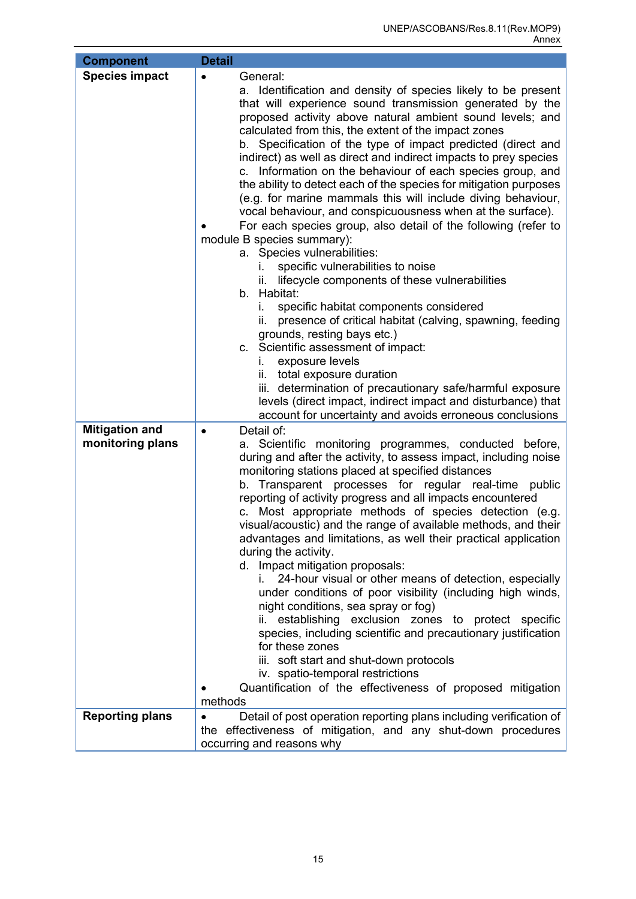| <b>Component</b>                          | <b>Detail</b>                                                                                                                                                                                                                                                                                                                                                                                                                                                                                                                                                                                                                                                                                                                                                                                                                                                                                                                                                                                                                                                                                                                                                                                                                                                                                                                                              |
|-------------------------------------------|------------------------------------------------------------------------------------------------------------------------------------------------------------------------------------------------------------------------------------------------------------------------------------------------------------------------------------------------------------------------------------------------------------------------------------------------------------------------------------------------------------------------------------------------------------------------------------------------------------------------------------------------------------------------------------------------------------------------------------------------------------------------------------------------------------------------------------------------------------------------------------------------------------------------------------------------------------------------------------------------------------------------------------------------------------------------------------------------------------------------------------------------------------------------------------------------------------------------------------------------------------------------------------------------------------------------------------------------------------|
| <b>Species impact</b>                     | General:<br>a. Identification and density of species likely to be present<br>that will experience sound transmission generated by the<br>proposed activity above natural ambient sound levels; and<br>calculated from this, the extent of the impact zones<br>b. Specification of the type of impact predicted (direct and<br>indirect) as well as direct and indirect impacts to prey species<br>c. Information on the behaviour of each species group, and<br>the ability to detect each of the species for mitigation purposes<br>(e.g. for marine mammals this will include diving behaviour,<br>vocal behaviour, and conspicuousness when at the surface).<br>For each species group, also detail of the following (refer to<br>module B species summary):<br>a. Species vulnerabilities:<br>specific vulnerabilities to noise<br>L.<br>lifecycle components of these vulnerabilities<br>Îİ.<br>b. Habitat:<br>specific habitat components considered<br>İ.<br>presence of critical habitat (calving, spawning, feeding<br>ii.<br>grounds, resting bays etc.)<br>c. Scientific assessment of impact:<br>exposure levels<br>Ĺ.<br>ii. total exposure duration<br>iii. determination of precautionary safe/harmful exposure<br>levels (direct impact, indirect impact and disturbance) that<br>account for uncertainty and avoids erroneous conclusions |
| <b>Mitigation and</b><br>monitoring plans | Detail of:<br>$\bullet$<br>a. Scientific monitoring programmes, conducted before,<br>during and after the activity, to assess impact, including noise<br>monitoring stations placed at specified distances<br>b. Transparent processes for regular real-time public<br>reporting of activity progress and all impacts encountered<br>c. Most appropriate methods of species detection (e.g.<br>visual/acoustic) and the range of available methods, and their<br>advantages and limitations, as well their practical application<br>during the activity.<br>d. Impact mitigation proposals:<br>24-hour visual or other means of detection, especially<br>under conditions of poor visibility (including high winds,<br>night conditions, sea spray or fog)<br>establishing exclusion zones to protect specific<br>species, including scientific and precautionary justification<br>for these zones<br>iii. soft start and shut-down protocols<br>iv. spatio-temporal restrictions<br>Quantification of the effectiveness of proposed mitigation<br>methods                                                                                                                                                                                                                                                                                                 |
| <b>Reporting plans</b>                    | Detail of post operation reporting plans including verification of<br>the effectiveness of mitigation, and any shut-down procedures                                                                                                                                                                                                                                                                                                                                                                                                                                                                                                                                                                                                                                                                                                                                                                                                                                                                                                                                                                                                                                                                                                                                                                                                                        |
|                                           | occurring and reasons why                                                                                                                                                                                                                                                                                                                                                                                                                                                                                                                                                                                                                                                                                                                                                                                                                                                                                                                                                                                                                                                                                                                                                                                                                                                                                                                                  |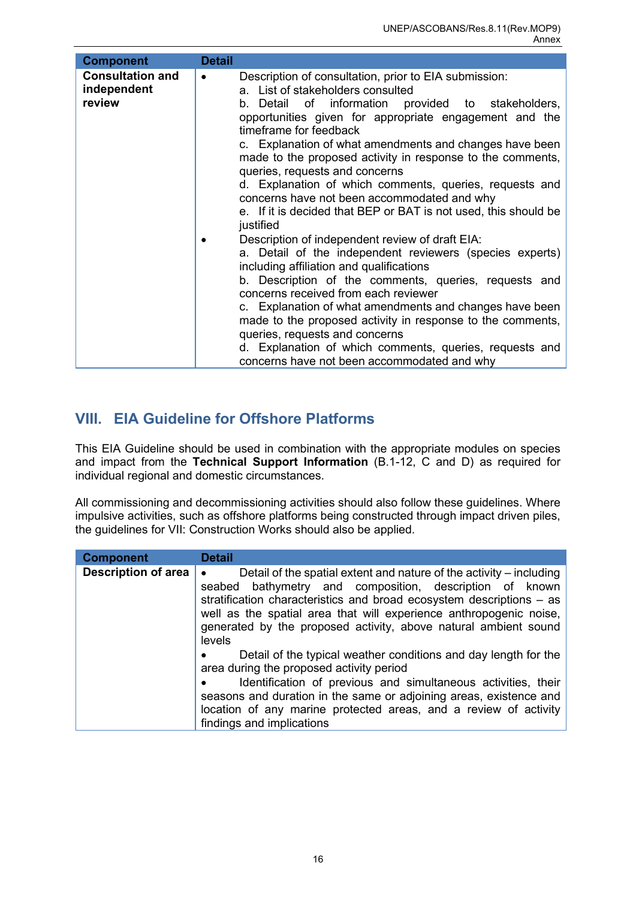| <b>Component</b>                                 | <b>Detail</b>                                                                                                                                                                                                                                                                                                                                                                                                                                                                                                                                                                                                                                                                                                                                                                                                                                                                                                                                                                                                                                                                            |
|--------------------------------------------------|------------------------------------------------------------------------------------------------------------------------------------------------------------------------------------------------------------------------------------------------------------------------------------------------------------------------------------------------------------------------------------------------------------------------------------------------------------------------------------------------------------------------------------------------------------------------------------------------------------------------------------------------------------------------------------------------------------------------------------------------------------------------------------------------------------------------------------------------------------------------------------------------------------------------------------------------------------------------------------------------------------------------------------------------------------------------------------------|
| <b>Consultation and</b><br>independent<br>review | Description of consultation, prior to EIA submission:<br>$\bullet$<br>a. List of stakeholders consulted<br>b. Detail of information provided to stakeholders,<br>opportunities given for appropriate engagement and the<br>timeframe for feedback<br>c. Explanation of what amendments and changes have been<br>made to the proposed activity in response to the comments,<br>queries, requests and concerns<br>d. Explanation of which comments, queries, requests and<br>concerns have not been accommodated and why<br>e. If it is decided that BEP or BAT is not used, this should be<br>justified<br>Description of independent review of draft EIA:<br>a. Detail of the independent reviewers (species experts)<br>including affiliation and qualifications<br>b. Description of the comments, queries, requests and<br>concerns received from each reviewer<br>c. Explanation of what amendments and changes have been<br>made to the proposed activity in response to the comments,<br>queries, requests and concerns<br>d. Explanation of which comments, queries, requests and |
|                                                  | concerns have not been accommodated and why                                                                                                                                                                                                                                                                                                                                                                                                                                                                                                                                                                                                                                                                                                                                                                                                                                                                                                                                                                                                                                              |

# <span id="page-18-0"></span>**VIII. EIA Guideline for Offshore Platforms**

This EIA Guideline should be used in combination with the appropriate modules on species and impact from the **Technical Support Information** (B.1-12, C and D) as required for individual regional and domestic circumstances.

All commissioning and decommissioning activities should also follow these guidelines. Where impulsive activities, such as offshore platforms being constructed through impact driven piles, the guidelines for VII: Construction Works should also be applied.

| <b>Component</b>    | <b>Detail</b>                                                                                                                                                                                                                                                                                                                                                            |
|---------------------|--------------------------------------------------------------------------------------------------------------------------------------------------------------------------------------------------------------------------------------------------------------------------------------------------------------------------------------------------------------------------|
| Description of area | Detail of the spatial extent and nature of the activity $-$ including<br>$\bullet$<br>seabed bathymetry and composition, description of known<br>stratification characteristics and broad ecosystem descriptions – as<br>well as the spatial area that will experience anthropogenic noise,<br>generated by the proposed activity, above natural ambient sound<br>levels |
|                     | Detail of the typical weather conditions and day length for the<br>area during the proposed activity period<br>Identification of previous and simultaneous activities, their<br>seasons and duration in the same or adjoining areas, existence and<br>location of any marine protected areas, and a review of activity<br>findings and implications                      |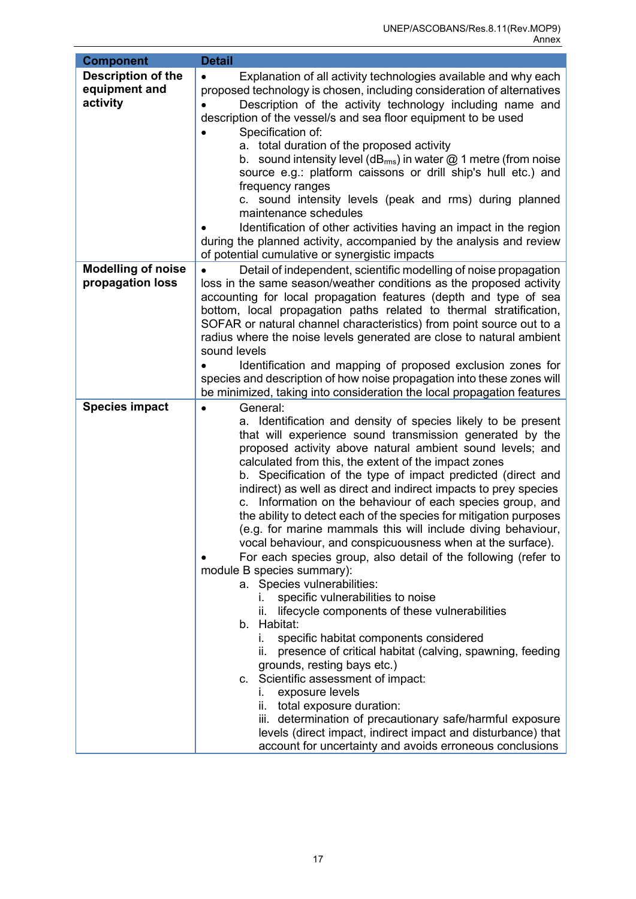| <b>Component</b>                                       | <b>Detail</b>                                                                                                                                                                                                                                                                                                                                                                                                                                                                                                                                                                                                                                                                                                                                                                                                                                                                                                                                                                                                                                                                                                                                                                                                                                                                                                                                                        |
|--------------------------------------------------------|----------------------------------------------------------------------------------------------------------------------------------------------------------------------------------------------------------------------------------------------------------------------------------------------------------------------------------------------------------------------------------------------------------------------------------------------------------------------------------------------------------------------------------------------------------------------------------------------------------------------------------------------------------------------------------------------------------------------------------------------------------------------------------------------------------------------------------------------------------------------------------------------------------------------------------------------------------------------------------------------------------------------------------------------------------------------------------------------------------------------------------------------------------------------------------------------------------------------------------------------------------------------------------------------------------------------------------------------------------------------|
| <b>Description of the</b><br>equipment and<br>activity | Explanation of all activity technologies available and why each<br>$\bullet$<br>proposed technology is chosen, including consideration of alternatives<br>Description of the activity technology including name and<br>description of the vessel/s and sea floor equipment to be used<br>Specification of:<br>a. total duration of the proposed activity<br>b. sound intensity level ( $dB_{rms}$ ) in water $@$ 1 metre (from noise<br>source e.g.: platform caissons or drill ship's hull etc.) and<br>frequency ranges<br>c. sound intensity levels (peak and rms) during planned<br>maintenance schedules<br>Identification of other activities having an impact in the region<br>during the planned activity, accompanied by the analysis and review<br>of potential cumulative or synergistic impacts                                                                                                                                                                                                                                                                                                                                                                                                                                                                                                                                                          |
| <b>Modelling of noise</b><br>propagation loss          | Detail of independent, scientific modelling of noise propagation<br>loss in the same season/weather conditions as the proposed activity<br>accounting for local propagation features (depth and type of sea<br>bottom, local propagation paths related to thermal stratification,<br>SOFAR or natural channel characteristics) from point source out to a<br>radius where the noise levels generated are close to natural ambient<br>sound levels<br>Identification and mapping of proposed exclusion zones for                                                                                                                                                                                                                                                                                                                                                                                                                                                                                                                                                                                                                                                                                                                                                                                                                                                      |
|                                                        | species and description of how noise propagation into these zones will<br>be minimized, taking into consideration the local propagation features                                                                                                                                                                                                                                                                                                                                                                                                                                                                                                                                                                                                                                                                                                                                                                                                                                                                                                                                                                                                                                                                                                                                                                                                                     |
| <b>Species impact</b>                                  | General:<br>$\bullet$<br>a. Identification and density of species likely to be present<br>that will experience sound transmission generated by the<br>proposed activity above natural ambient sound levels; and<br>calculated from this, the extent of the impact zones<br>b. Specification of the type of impact predicted (direct and<br>indirect) as well as direct and indirect impacts to prey species<br>Information on the behaviour of each species group, and<br>C.<br>the ability to detect each of the species for mitigation purposes<br>(e.g. for marine mammals this will include diving behaviour,<br>vocal behaviour, and conspicuousness when at the surface).<br>For each species group, also detail of the following (refer to<br>module B species summary):<br>a. Species vulnerabilities:<br>specific vulnerabilities to noise<br>lifecycle components of these vulnerabilities<br>ii.<br>b. Habitat:<br>specific habitat components considered<br>L.<br>presence of critical habitat (calving, spawning, feeding<br>Ш.<br>grounds, resting bays etc.)<br>c. Scientific assessment of impact:<br>exposure levels<br>L.<br>ii. total exposure duration:<br>iii. determination of precautionary safe/harmful exposure<br>levels (direct impact, indirect impact and disturbance) that<br>account for uncertainty and avoids erroneous conclusions |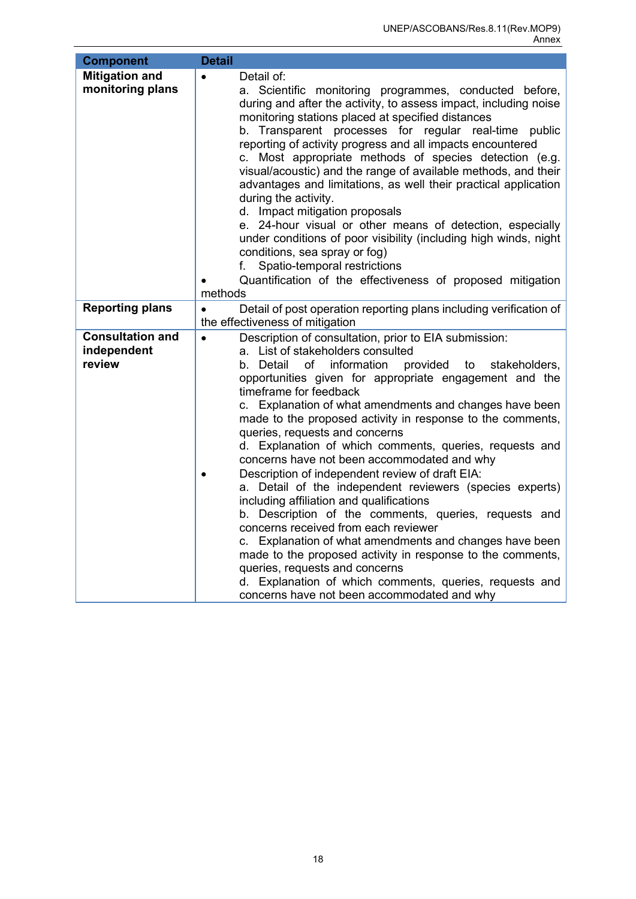<span id="page-20-0"></span>

| <b>Component</b>                                 | <b>Detail</b>                                                                                                                                                                                                                                                                                                                                                                                                                                                                                                                                                                                                                                                                                                                                                                                                                                                                                                                                                                                                                                                                       |
|--------------------------------------------------|-------------------------------------------------------------------------------------------------------------------------------------------------------------------------------------------------------------------------------------------------------------------------------------------------------------------------------------------------------------------------------------------------------------------------------------------------------------------------------------------------------------------------------------------------------------------------------------------------------------------------------------------------------------------------------------------------------------------------------------------------------------------------------------------------------------------------------------------------------------------------------------------------------------------------------------------------------------------------------------------------------------------------------------------------------------------------------------|
| <b>Mitigation and</b><br>monitoring plans        | Detail of:<br>$\bullet$<br>a. Scientific monitoring programmes, conducted before,<br>during and after the activity, to assess impact, including noise<br>monitoring stations placed at specified distances<br>b. Transparent processes for regular real-time public<br>reporting of activity progress and all impacts encountered<br>c. Most appropriate methods of species detection (e.g.<br>visual/acoustic) and the range of available methods, and their<br>advantages and limitations, as well their practical application<br>during the activity.<br>d. Impact mitigation proposals<br>e. 24-hour visual or other means of detection, especially<br>under conditions of poor visibility (including high winds, night<br>conditions, sea spray or fog)<br>Spatio-temporal restrictions<br>f.<br>Quantification of the effectiveness of proposed mitigation<br>methods                                                                                                                                                                                                         |
| <b>Reporting plans</b>                           | $\bullet$<br>Detail of post operation reporting plans including verification of<br>the effectiveness of mitigation                                                                                                                                                                                                                                                                                                                                                                                                                                                                                                                                                                                                                                                                                                                                                                                                                                                                                                                                                                  |
| <b>Consultation and</b><br>independent<br>review | Description of consultation, prior to EIA submission:<br>$\bullet$<br>a. List of stakeholders consulted<br>information<br>provided<br>b. Detail<br>оf<br>to<br>stakeholders,<br>opportunities given for appropriate engagement and the<br>timeframe for feedback<br>c. Explanation of what amendments and changes have been<br>made to the proposed activity in response to the comments,<br>queries, requests and concerns<br>d. Explanation of which comments, queries, requests and<br>concerns have not been accommodated and why<br>Description of independent review of draft EIA:<br>$\bullet$<br>a. Detail of the independent reviewers (species experts)<br>including affiliation and qualifications<br>b. Description of the comments, queries, requests and<br>concerns received from each reviewer<br>c. Explanation of what amendments and changes have been<br>made to the proposed activity in response to the comments,<br>queries, requests and concerns<br>d. Explanation of which comments, queries, requests and<br>concerns have not been accommodated and why |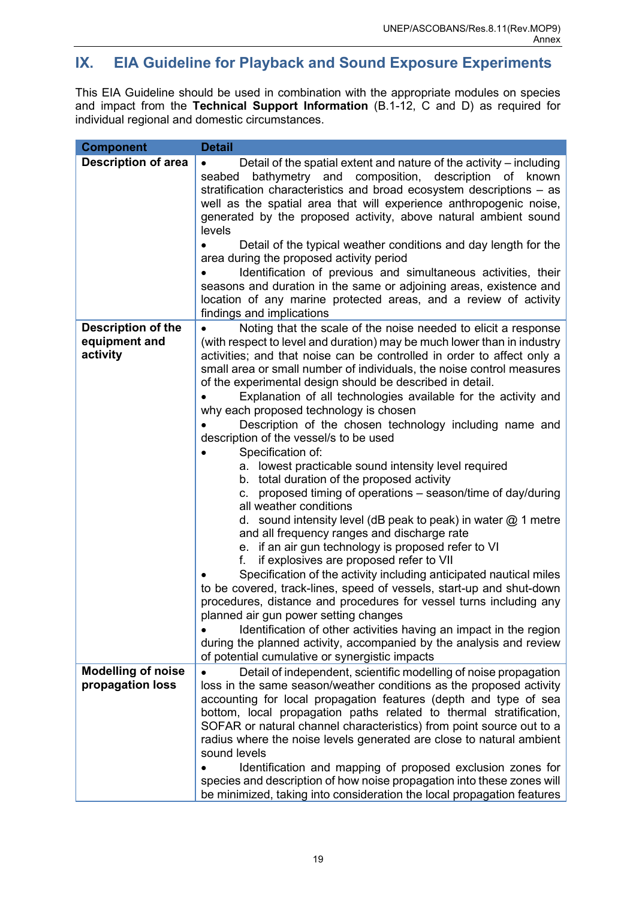# **IX. EIA Guideline for Playback and Sound Exposure Experiments**

This EIA Guideline should be used in combination with the appropriate modules on species and impact from the **Technical Support Information** (B.1-12, C and D) as required for individual regional and domestic circumstances.

| <b>Component</b>                                       | <b>Detail</b>                                                                                                                                                                                                                                                                                                                                                                                                                                                                                                                                                                                                                                                                                                                                                                                                                                                                                                                                                                                                                                                                                                                                                                                                                                                                                                                                                                                                                                                                           |
|--------------------------------------------------------|-----------------------------------------------------------------------------------------------------------------------------------------------------------------------------------------------------------------------------------------------------------------------------------------------------------------------------------------------------------------------------------------------------------------------------------------------------------------------------------------------------------------------------------------------------------------------------------------------------------------------------------------------------------------------------------------------------------------------------------------------------------------------------------------------------------------------------------------------------------------------------------------------------------------------------------------------------------------------------------------------------------------------------------------------------------------------------------------------------------------------------------------------------------------------------------------------------------------------------------------------------------------------------------------------------------------------------------------------------------------------------------------------------------------------------------------------------------------------------------------|
| <b>Description of area</b>                             | Detail of the spatial extent and nature of the activity – including<br>$\bullet$<br>bathymetry and composition, description of known<br>seabed<br>stratification characteristics and broad ecosystem descriptions - as<br>well as the spatial area that will experience anthropogenic noise,<br>generated by the proposed activity, above natural ambient sound<br>levels<br>Detail of the typical weather conditions and day length for the                                                                                                                                                                                                                                                                                                                                                                                                                                                                                                                                                                                                                                                                                                                                                                                                                                                                                                                                                                                                                                            |
|                                                        | area during the proposed activity period<br>Identification of previous and simultaneous activities, their<br>seasons and duration in the same or adjoining areas, existence and<br>location of any marine protected areas, and a review of activity<br>findings and implications                                                                                                                                                                                                                                                                                                                                                                                                                                                                                                                                                                                                                                                                                                                                                                                                                                                                                                                                                                                                                                                                                                                                                                                                        |
| <b>Description of the</b><br>equipment and<br>activity | Noting that the scale of the noise needed to elicit a response<br>(with respect to level and duration) may be much lower than in industry<br>activities; and that noise can be controlled in order to affect only a<br>small area or small number of individuals, the noise control measures<br>of the experimental design should be described in detail.<br>Explanation of all technologies available for the activity and<br>why each proposed technology is chosen<br>Description of the chosen technology including name and<br>description of the vessel/s to be used<br>Specification of:<br>a. lowest practicable sound intensity level required<br>b. total duration of the proposed activity<br>proposed timing of operations – season/time of day/during<br>C.<br>all weather conditions<br>d. sound intensity level (dB peak to peak) in water $@$ 1 metre<br>and all frequency ranges and discharge rate<br>e. if an air gun technology is proposed refer to VI<br>if explosives are proposed refer to VII<br>f.<br>Specification of the activity including anticipated nautical miles<br>to be covered, track-lines, speed of vessels, start-up and shut-down<br>procedures, distance and procedures for vessel turns including any<br>planned air gun power setting changes<br>Identification of other activities having an impact in the region<br>during the planned activity, accompanied by the analysis and review<br>of potential cumulative or synergistic impacts |
| <b>Modelling of noise</b><br>propagation loss          | Detail of independent, scientific modelling of noise propagation<br>loss in the same season/weather conditions as the proposed activity<br>accounting for local propagation features (depth and type of sea<br>bottom, local propagation paths related to thermal stratification,<br>SOFAR or natural channel characteristics) from point source out to a<br>radius where the noise levels generated are close to natural ambient<br>sound levels<br>Identification and mapping of proposed exclusion zones for<br>species and description of how noise propagation into these zones will<br>be minimized, taking into consideration the local propagation features                                                                                                                                                                                                                                                                                                                                                                                                                                                                                                                                                                                                                                                                                                                                                                                                                     |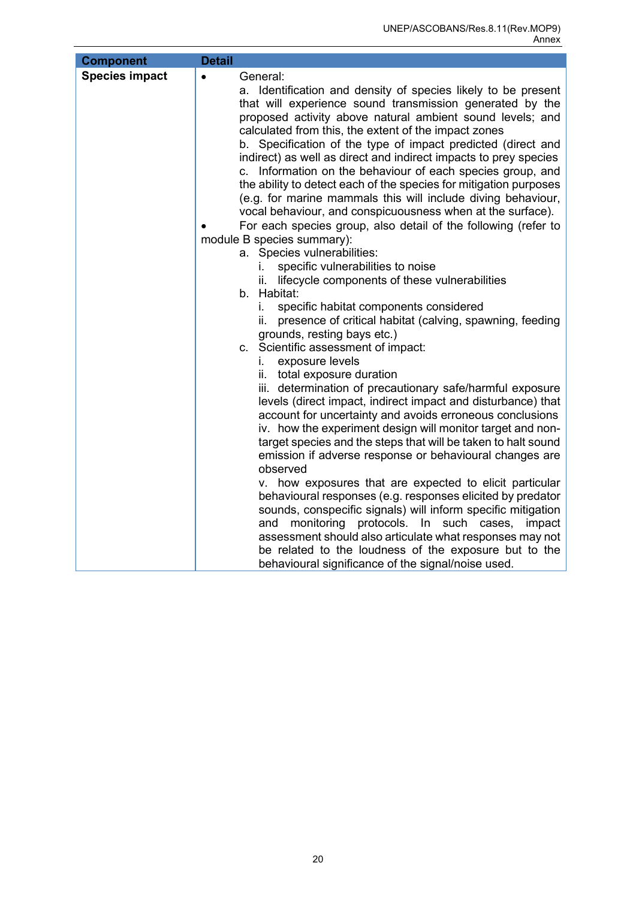| <b>Component</b>      | <b>Detail</b>                                                                                                                                                                                                                                                                                                                                                                                                                                                                                                                                                                                                                                                                                                                                                                                 |
|-----------------------|-----------------------------------------------------------------------------------------------------------------------------------------------------------------------------------------------------------------------------------------------------------------------------------------------------------------------------------------------------------------------------------------------------------------------------------------------------------------------------------------------------------------------------------------------------------------------------------------------------------------------------------------------------------------------------------------------------------------------------------------------------------------------------------------------|
| <b>Species impact</b> | General:<br>$\bullet$<br>a. Identification and density of species likely to be present<br>that will experience sound transmission generated by the<br>proposed activity above natural ambient sound levels; and<br>calculated from this, the extent of the impact zones<br>b. Specification of the type of impact predicted (direct and<br>indirect) as well as direct and indirect impacts to prey species<br>c. Information on the behaviour of each species group, and<br>the ability to detect each of the species for mitigation purposes<br>(e.g. for marine mammals this will include diving behaviour,<br>vocal behaviour, and conspicuousness when at the surface).<br>For each species group, also detail of the following (refer to                                                |
|                       | module B species summary):                                                                                                                                                                                                                                                                                                                                                                                                                                                                                                                                                                                                                                                                                                                                                                    |
|                       | a. Species vulnerabilities:<br>specific vulnerabilities to noise<br>L.<br>lifecycle components of these vulnerabilities<br>ii.<br>b. Habitat:<br>specific habitat components considered<br>İ.<br>presence of critical habitat (calving, spawning, feeding<br>ii.<br>grounds, resting bays etc.)<br>c. Scientific assessment of impact:<br>exposure levels<br>i.<br>ii. total exposure duration<br>iii. determination of precautionary safe/harmful exposure<br>levels (direct impact, indirect impact and disturbance) that<br>account for uncertainty and avoids erroneous conclusions<br>iv. how the experiment design will monitor target and non-<br>target species and the steps that will be taken to halt sound<br>emission if adverse response or behavioural changes are<br>observed |
|                       | v. how exposures that are expected to elicit particular<br>behavioural responses (e.g. responses elicited by predator<br>sounds, conspecific signals) will inform specific mitigation<br>monitoring protocols. In such cases,<br>and<br>impact<br>assessment should also articulate what responses may not<br>be related to the loudness of the exposure but to the<br>behavioural significance of the signal/noise used.                                                                                                                                                                                                                                                                                                                                                                     |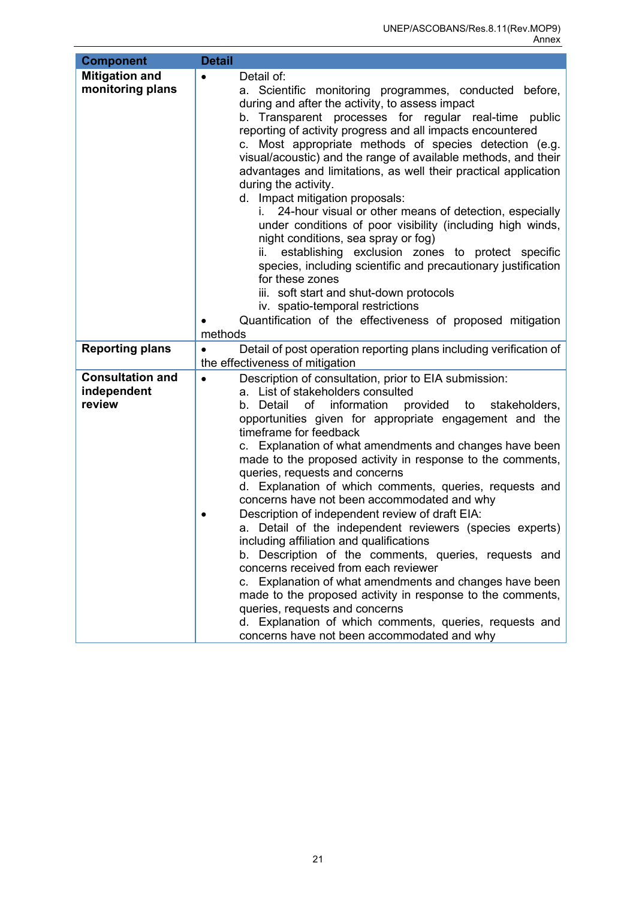<span id="page-23-0"></span>

| <b>Component</b>                          | <b>Detail</b>                                                                                                                                                                                                                                                                                                         |
|-------------------------------------------|-----------------------------------------------------------------------------------------------------------------------------------------------------------------------------------------------------------------------------------------------------------------------------------------------------------------------|
| <b>Mitigation and</b><br>monitoring plans | Detail of:<br>$\bullet$<br>a. Scientific monitoring programmes, conducted before,<br>during and after the activity, to assess impact<br>b. Transparent processes for regular real-time public<br>reporting of activity progress and all impacts encountered<br>c. Most appropriate methods of species detection (e.g. |
|                                           | visual/acoustic) and the range of available methods, and their<br>advantages and limitations, as well their practical application<br>during the activity.<br>d. Impact mitigation proposals:<br>i.                                                                                                                    |
|                                           | 24-hour visual or other means of detection, especially<br>under conditions of poor visibility (including high winds,<br>night conditions, sea spray or fog)<br>establishing exclusion zones to protect specific<br>ii. –                                                                                              |
|                                           | species, including scientific and precautionary justification<br>for these zones<br>iii. soft start and shut-down protocols                                                                                                                                                                                           |
|                                           | iv. spatio-temporal restrictions                                                                                                                                                                                                                                                                                      |
|                                           | Quantification of the effectiveness of proposed mitigation                                                                                                                                                                                                                                                            |
|                                           | methods                                                                                                                                                                                                                                                                                                               |
| <b>Reporting plans</b>                    | Detail of post operation reporting plans including verification of<br>$\bullet$<br>the effectiveness of mitigation                                                                                                                                                                                                    |
| <b>Consultation and</b><br>independent    | Description of consultation, prior to EIA submission:<br>$\bullet$<br>a. List of stakeholders consulted                                                                                                                                                                                                               |
| review                                    | b. Detail<br>of information provided to<br>stakeholders,<br>opportunities given for appropriate engagement and the<br>timeframe for feedback                                                                                                                                                                          |
|                                           | c. Explanation of what amendments and changes have been<br>made to the proposed activity in response to the comments,<br>queries, requests and concerns                                                                                                                                                               |
|                                           | d. Explanation of which comments, queries, requests and<br>concerns have not been accommodated and why                                                                                                                                                                                                                |
|                                           | Description of independent review of draft EIA:<br>a. Detail of the independent reviewers (species experts)<br>including affiliation and qualifications                                                                                                                                                               |
|                                           | b. Description of the comments, queries, requests and<br>concerns received from each reviewer                                                                                                                                                                                                                         |
|                                           | c. Explanation of what amendments and changes have been<br>made to the proposed activity in response to the comments,                                                                                                                                                                                                 |
|                                           | queries, requests and concerns<br>d. Explanation of which comments, queries, requests and<br>concerns have not been accommodated and why                                                                                                                                                                              |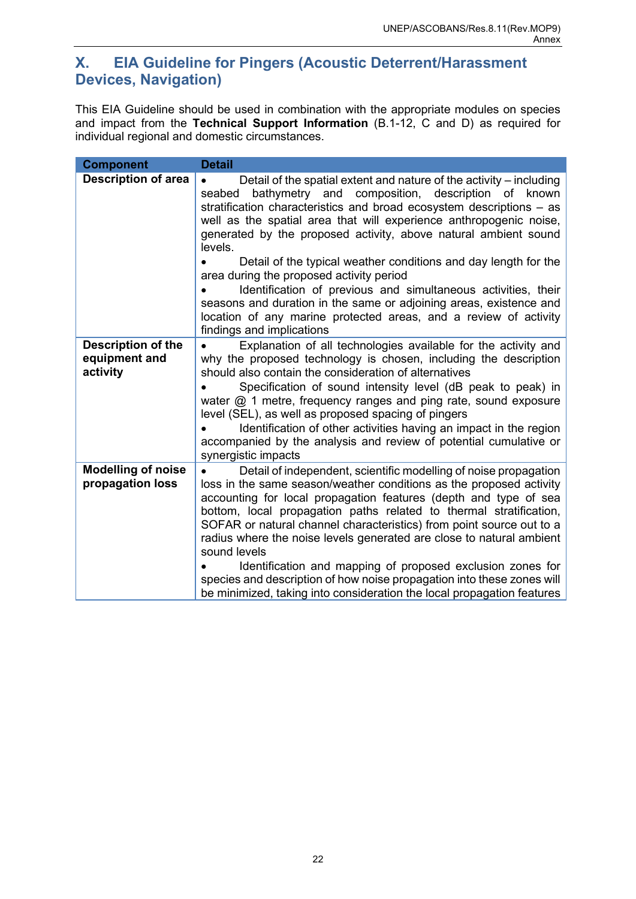# **X. EIA Guideline for Pingers (Acoustic Deterrent/Harassment Devices, Navigation)**

This EIA Guideline should be used in combination with the appropriate modules on species and impact from the **Technical Support Information** (B.1-12, C and D) as required for individual regional and domestic circumstances.

| <b>Component</b>                           | <b>Detail</b>                                                                                                                                                                                                                                                                                                                                                                                                                                                                                                                                                                                                                                                                                                           |
|--------------------------------------------|-------------------------------------------------------------------------------------------------------------------------------------------------------------------------------------------------------------------------------------------------------------------------------------------------------------------------------------------------------------------------------------------------------------------------------------------------------------------------------------------------------------------------------------------------------------------------------------------------------------------------------------------------------------------------------------------------------------------------|
| <b>Description of area</b>                 | Detail of the spatial extent and nature of the activity – including<br>and composition, description of known<br>bathymetry<br>seabed<br>stratification characteristics and broad ecosystem descriptions – as<br>well as the spatial area that will experience anthropogenic noise,<br>generated by the proposed activity, above natural ambient sound<br>levels.<br>Detail of the typical weather conditions and day length for the<br>area during the proposed activity period<br>Identification of previous and simultaneous activities, their<br>seasons and duration in the same or adjoining areas, existence and<br>location of any marine protected areas, and a review of activity<br>findings and implications |
| <b>Description of the</b><br>equipment and | Explanation of all technologies available for the activity and<br>why the proposed technology is chosen, including the description                                                                                                                                                                                                                                                                                                                                                                                                                                                                                                                                                                                      |
| activity                                   | should also contain the consideration of alternatives                                                                                                                                                                                                                                                                                                                                                                                                                                                                                                                                                                                                                                                                   |
|                                            | Specification of sound intensity level (dB peak to peak) in<br>water $@$ 1 metre, frequency ranges and ping rate, sound exposure<br>level (SEL), as well as proposed spacing of pingers<br>Identification of other activities having an impact in the region<br>accompanied by the analysis and review of potential cumulative or<br>synergistic impacts                                                                                                                                                                                                                                                                                                                                                                |
| <b>Modelling of noise</b>                  | Detail of independent, scientific modelling of noise propagation                                                                                                                                                                                                                                                                                                                                                                                                                                                                                                                                                                                                                                                        |
| propagation loss                           | loss in the same season/weather conditions as the proposed activity<br>accounting for local propagation features (depth and type of sea                                                                                                                                                                                                                                                                                                                                                                                                                                                                                                                                                                                 |
|                                            | bottom, local propagation paths related to thermal stratification,<br>SOFAR or natural channel characteristics) from point source out to a                                                                                                                                                                                                                                                                                                                                                                                                                                                                                                                                                                              |
|                                            | radius where the noise levels generated are close to natural ambient<br>sound levels                                                                                                                                                                                                                                                                                                                                                                                                                                                                                                                                                                                                                                    |
|                                            | Identification and mapping of proposed exclusion zones for                                                                                                                                                                                                                                                                                                                                                                                                                                                                                                                                                                                                                                                              |
|                                            | species and description of how noise propagation into these zones will<br>be minimized, taking into consideration the local propagation features                                                                                                                                                                                                                                                                                                                                                                                                                                                                                                                                                                        |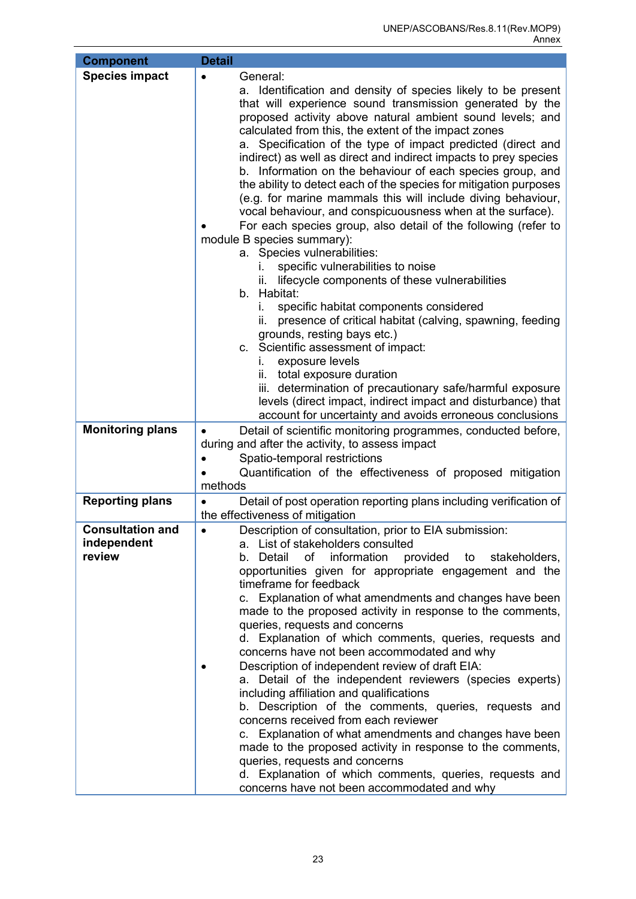| <b>Component</b>                                 | <b>Detail</b>                                                                                                                                                                                                                                                                                                                                                                                                                                                                                                                                                                                                                                                                                                                                                                                                                                                                                                                                                                                                                                                          |
|--------------------------------------------------|------------------------------------------------------------------------------------------------------------------------------------------------------------------------------------------------------------------------------------------------------------------------------------------------------------------------------------------------------------------------------------------------------------------------------------------------------------------------------------------------------------------------------------------------------------------------------------------------------------------------------------------------------------------------------------------------------------------------------------------------------------------------------------------------------------------------------------------------------------------------------------------------------------------------------------------------------------------------------------------------------------------------------------------------------------------------|
| <b>Species impact</b>                            | General:<br>$\bullet$<br>a. Identification and density of species likely to be present<br>that will experience sound transmission generated by the<br>proposed activity above natural ambient sound levels; and<br>calculated from this, the extent of the impact zones<br>Specification of the type of impact predicted (direct and<br>a.<br>indirect) as well as direct and indirect impacts to prey species<br>b. Information on the behaviour of each species group, and<br>the ability to detect each of the species for mitigation purposes<br>(e.g. for marine mammals this will include diving behaviour,<br>vocal behaviour, and conspicuousness when at the surface).<br>For each species group, also detail of the following (refer to                                                                                                                                                                                                                                                                                                                      |
|                                                  | module B species summary):<br>a. Species vulnerabilities:                                                                                                                                                                                                                                                                                                                                                                                                                                                                                                                                                                                                                                                                                                                                                                                                                                                                                                                                                                                                              |
|                                                  | specific vulnerabilities to noise<br>lifecycle components of these vulnerabilities<br>Îİ.<br>b. Habitat:<br>specific habitat components considered<br>i.<br>presence of critical habitat (calving, spawning, feeding<br>ii.<br>grounds, resting bays etc.)<br>c. Scientific assessment of impact:<br>exposure levels<br>L.                                                                                                                                                                                                                                                                                                                                                                                                                                                                                                                                                                                                                                                                                                                                             |
|                                                  | ii. total exposure duration<br>iii. determination of precautionary safe/harmful exposure<br>levels (direct impact, indirect impact and disturbance) that<br>account for uncertainty and avoids erroneous conclusions                                                                                                                                                                                                                                                                                                                                                                                                                                                                                                                                                                                                                                                                                                                                                                                                                                                   |
| <b>Monitoring plans</b>                          | Detail of scientific monitoring programmes, conducted before,<br>$\bullet$<br>during and after the activity, to assess impact<br>Spatio-temporal restrictions<br>Quantification of the effectiveness of proposed mitigation<br>methods                                                                                                                                                                                                                                                                                                                                                                                                                                                                                                                                                                                                                                                                                                                                                                                                                                 |
| <b>Reporting plans</b>                           | Detail of post operation reporting plans including verification of<br>$\bullet$<br>the effectiveness of mitigation                                                                                                                                                                                                                                                                                                                                                                                                                                                                                                                                                                                                                                                                                                                                                                                                                                                                                                                                                     |
| <b>Consultation and</b><br>independent<br>review | Description of consultation, prior to EIA submission:<br>$\bullet$<br>a. List of stakeholders consulted<br>b. Detail<br>of<br>information<br>provided<br>to<br>stakeholders,<br>opportunities given for appropriate engagement and the<br>timeframe for feedback<br>c. Explanation of what amendments and changes have been<br>made to the proposed activity in response to the comments,<br>queries, requests and concerns<br>d. Explanation of which comments, queries, requests and<br>concerns have not been accommodated and why<br>Description of independent review of draft EIA:<br>a. Detail of the independent reviewers (species experts)<br>including affiliation and qualifications<br>b. Description of the comments, queries, requests and<br>concerns received from each reviewer<br>c. Explanation of what amendments and changes have been<br>made to the proposed activity in response to the comments,<br>queries, requests and concerns<br>d. Explanation of which comments, queries, requests and<br>concerns have not been accommodated and why |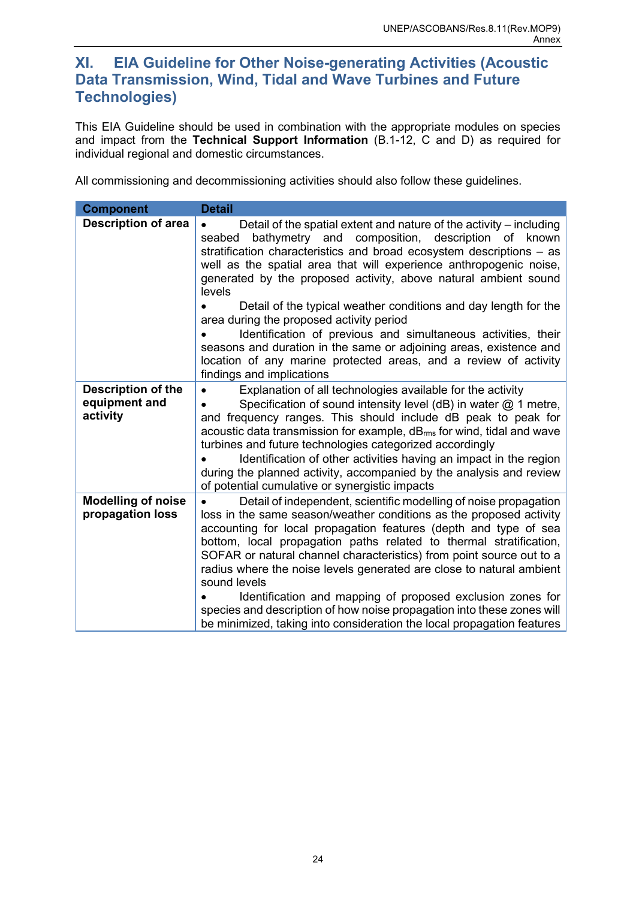### <span id="page-26-0"></span>**XI. EIA Guideline for Other Noise-generating Activities (Acoustic Data Transmission, Wind, Tidal and Wave Turbines and Future Technologies)**

This EIA Guideline should be used in combination with the appropriate modules on species and impact from the **Technical Support Information** (B.1-12, C and D) as required for individual regional and domestic circumstances.

All commissioning and decommissioning activities should also follow these guidelines.

| <b>Component</b>                                       | <b>Detail</b>                                                                                                                                                                                                                                                                                                                                                                                                                                                                                                                                                                                                                                                                                                            |
|--------------------------------------------------------|--------------------------------------------------------------------------------------------------------------------------------------------------------------------------------------------------------------------------------------------------------------------------------------------------------------------------------------------------------------------------------------------------------------------------------------------------------------------------------------------------------------------------------------------------------------------------------------------------------------------------------------------------------------------------------------------------------------------------|
| <b>Description of area</b>                             | Detail of the spatial extent and nature of the activity $-$ including<br>bathymetry and composition,<br>description of known<br>seabed<br>stratification characteristics and broad ecosystem descriptions - as<br>well as the spatial area that will experience anthropogenic noise,<br>generated by the proposed activity, above natural ambient sound<br>levels<br>Detail of the typical weather conditions and day length for the<br>area during the proposed activity period<br>Identification of previous and simultaneous activities, their<br>seasons and duration in the same or adjoining areas, existence and<br>location of any marine protected areas, and a review of activity<br>findings and implications |
| <b>Description of the</b><br>equipment and<br>activity | Explanation of all technologies available for the activity<br>$\bullet$<br>Specification of sound intensity level (dB) in water $@$ 1 metre,<br>and frequency ranges. This should include dB peak to peak for<br>acoustic data transmission for example, dB <sub>rms</sub> for wind, tidal and wave<br>turbines and future technologies categorized accordingly<br>Identification of other activities having an impact in the region<br>during the planned activity, accompanied by the analysis and review<br>of potential cumulative or synergistic impacts                                                                                                                                                            |
| <b>Modelling of noise</b><br>propagation loss          | Detail of independent, scientific modelling of noise propagation<br>loss in the same season/weather conditions as the proposed activity<br>accounting for local propagation features (depth and type of sea<br>bottom, local propagation paths related to thermal stratification,<br>SOFAR or natural channel characteristics) from point source out to a<br>radius where the noise levels generated are close to natural ambient<br>sound levels<br>Identification and mapping of proposed exclusion zones for<br>species and description of how noise propagation into these zones will<br>be minimized, taking into consideration the local propagation features                                                      |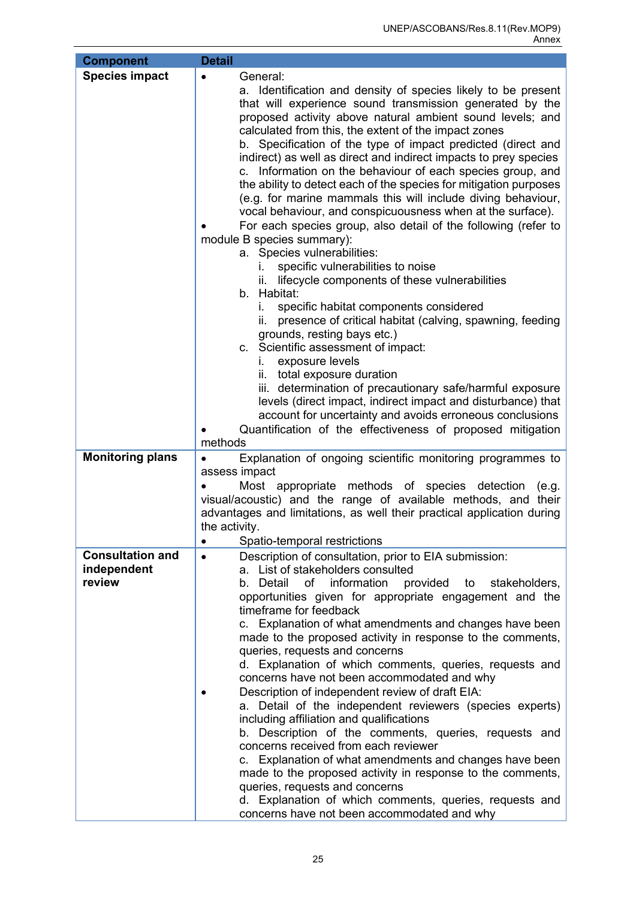| <b>Component</b>                                 | <b>Detail</b>                                                                                                                                                                                                                                                                                                                                                                                                                                                                                                                                                                                                                                                                                                                                                                                                                                                                                                                                                                                                                                                                                                                                                                                                                                                                                                                                                                                                                                   |
|--------------------------------------------------|-------------------------------------------------------------------------------------------------------------------------------------------------------------------------------------------------------------------------------------------------------------------------------------------------------------------------------------------------------------------------------------------------------------------------------------------------------------------------------------------------------------------------------------------------------------------------------------------------------------------------------------------------------------------------------------------------------------------------------------------------------------------------------------------------------------------------------------------------------------------------------------------------------------------------------------------------------------------------------------------------------------------------------------------------------------------------------------------------------------------------------------------------------------------------------------------------------------------------------------------------------------------------------------------------------------------------------------------------------------------------------------------------------------------------------------------------|
| <b>Species impact</b>                            | General:<br>$\bullet$<br>a. Identification and density of species likely to be present<br>that will experience sound transmission generated by the<br>proposed activity above natural ambient sound levels; and<br>calculated from this, the extent of the impact zones<br>b. Specification of the type of impact predicted (direct and<br>indirect) as well as direct and indirect impacts to prey species<br>c. Information on the behaviour of each species group, and<br>the ability to detect each of the species for mitigation purposes<br>(e.g. for marine mammals this will include diving behaviour,<br>vocal behaviour, and conspicuousness when at the surface).<br>For each species group, also detail of the following (refer to<br>module B species summary):<br>a. Species vulnerabilities:<br>specific vulnerabilities to noise<br>L.<br>lifecycle components of these vulnerabilities<br>Ш.<br>b. Habitat:<br>specific habitat components considered<br>i.<br>presence of critical habitat (calving, spawning, feeding<br>ii.<br>grounds, resting bays etc.)<br>c. Scientific assessment of impact:<br>exposure levels<br>i.<br>ii. total exposure duration<br>iii. determination of precautionary safe/harmful exposure<br>levels (direct impact, indirect impact and disturbance) that<br>account for uncertainty and avoids erroneous conclusions<br>Quantification of the effectiveness of proposed mitigation<br>methods |
| <b>Monitoring plans</b>                          | Explanation of ongoing scientific monitoring programmes to<br>$\bullet$<br>assess impact<br>Most appropriate methods of species detection<br>(e.g.<br>visual/acoustic) and the range of available methods, and their<br>advantages and limitations, as well their practical application during<br>the activity.<br>Spatio-temporal restrictions<br>$\bullet$                                                                                                                                                                                                                                                                                                                                                                                                                                                                                                                                                                                                                                                                                                                                                                                                                                                                                                                                                                                                                                                                                    |
| <b>Consultation and</b><br>independent<br>review | Description of consultation, prior to EIA submission:<br>$\bullet$<br>a. List of stakeholders consulted<br>b. Detail<br>of<br>provided to<br>information<br>stakeholders,                                                                                                                                                                                                                                                                                                                                                                                                                                                                                                                                                                                                                                                                                                                                                                                                                                                                                                                                                                                                                                                                                                                                                                                                                                                                       |
|                                                  | opportunities given for appropriate engagement and the<br>timeframe for feedback<br>c. Explanation of what amendments and changes have been<br>made to the proposed activity in response to the comments,<br>queries, requests and concerns<br>d. Explanation of which comments, queries, requests and<br>concerns have not been accommodated and why<br>Description of independent review of draft EIA:<br>a. Detail of the independent reviewers (species experts)<br>including affiliation and qualifications<br>b. Description of the comments, queries, requests and<br>concerns received from each reviewer<br>c. Explanation of what amendments and changes have been<br>made to the proposed activity in response to the comments,<br>queries, requests and concerns<br>d. Explanation of which comments, queries, requests and<br>concerns have not been accommodated and why                                                                                                                                                                                                                                                                                                                                                                                                                                                                                                                                                          |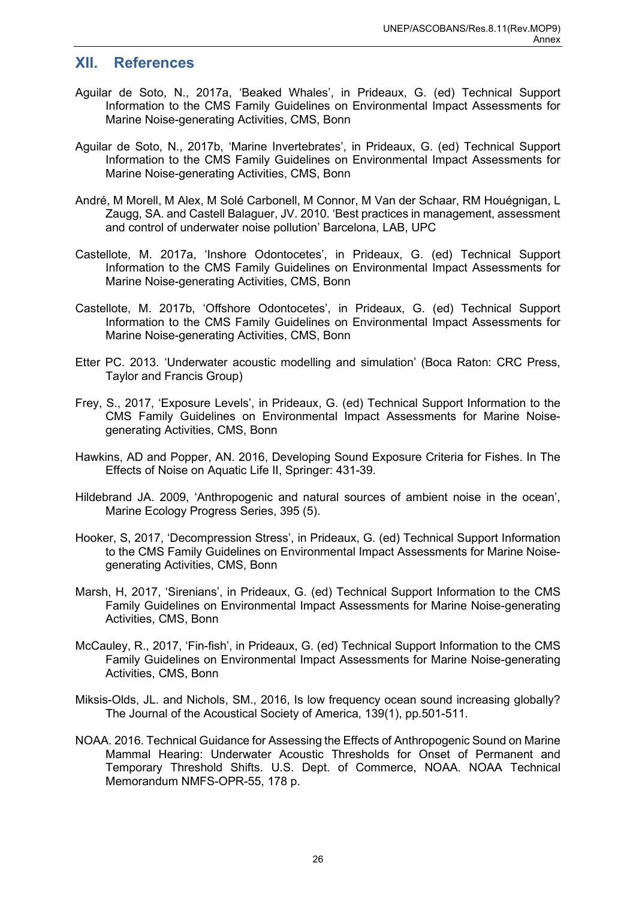#### <span id="page-28-0"></span>**XII. References**

- Aguilar de Soto, N., 2017a, 'Beaked Whales', in Prideaux, G. (ed) Technical Support Information to the CMS Family Guidelines on Environmental Impact Assessments for Marine Noise-generating Activities, CMS, Bonn
- Aguilar de Soto, N., 2017b, 'Marine Invertebrates', in Prideaux, G. (ed) Technical Support Information to the CMS Family Guidelines on Environmental Impact Assessments for Marine Noise-generating Activities, CMS, Bonn
- André, M Morell, M Alex, M Solé Carbonell, M Connor, M Van der Schaar, RM Houégnigan, L Zaugg, SA. and Castell Balaguer, JV. 2010. 'Best practices in management, assessment and control of underwater noise pollution' Barcelona, LAB, UPC
- Castellote, M. 2017a, 'Inshore Odontocetes', in Prideaux, G. (ed) Technical Support Information to the CMS Family Guidelines on Environmental Impact Assessments for Marine Noise-generating Activities, CMS, Bonn
- Castellote, M. 2017b, 'Offshore Odontocetes', in Prideaux, G. (ed) Technical Support Information to the CMS Family Guidelines on Environmental Impact Assessments for Marine Noise-generating Activities, CMS, Bonn
- Etter PC. 2013. 'Underwater acoustic modelling and simulation' (Boca Raton: CRC Press, Taylor and Francis Group)
- Frey, S., 2017, 'Exposure Levels', in Prideaux, G. (ed) Technical Support Information to the CMS Family Guidelines on Environmental Impact Assessments for Marine Noisegenerating Activities, CMS, Bonn
- Hawkins, AD and Popper, AN. 2016, Developing Sound Exposure Criteria for Fishes. In The Effects of Noise on Aquatic Life II, Springer: 431-39.
- Hildebrand JA. 2009, 'Anthropogenic and natural sources of ambient noise in the ocean', Marine Ecology Progress Series, 395 (5).
- Hooker, S, 2017, 'Decompression Stress', in Prideaux, G. (ed) Technical Support Information to the CMS Family Guidelines on Environmental Impact Assessments for Marine Noisegenerating Activities, CMS, Bonn
- Marsh, H, 2017, 'Sirenians', in Prideaux, G. (ed) Technical Support Information to the CMS Family Guidelines on Environmental Impact Assessments for Marine Noise-generating Activities, CMS, Bonn
- McCauley, R., 2017, 'Fin-fish', in Prideaux, G. (ed) Technical Support Information to the CMS Family Guidelines on Environmental Impact Assessments for Marine Noise-generating Activities, CMS, Bonn
- Miksis-Olds, JL. and Nichols, SM., 2016, Is low frequency ocean sound increasing globally? The Journal of the Acoustical Society of America, 139(1), pp.501-511.
- NOAA. 2016. Technical Guidance for Assessing the Effects of Anthropogenic Sound on Marine Mammal Hearing: Underwater Acoustic Thresholds for Onset of Permanent and Temporary Threshold Shifts. U.S. Dept. of Commerce, NOAA. NOAA Technical Memorandum NMFS-OPR-55, 178 p.